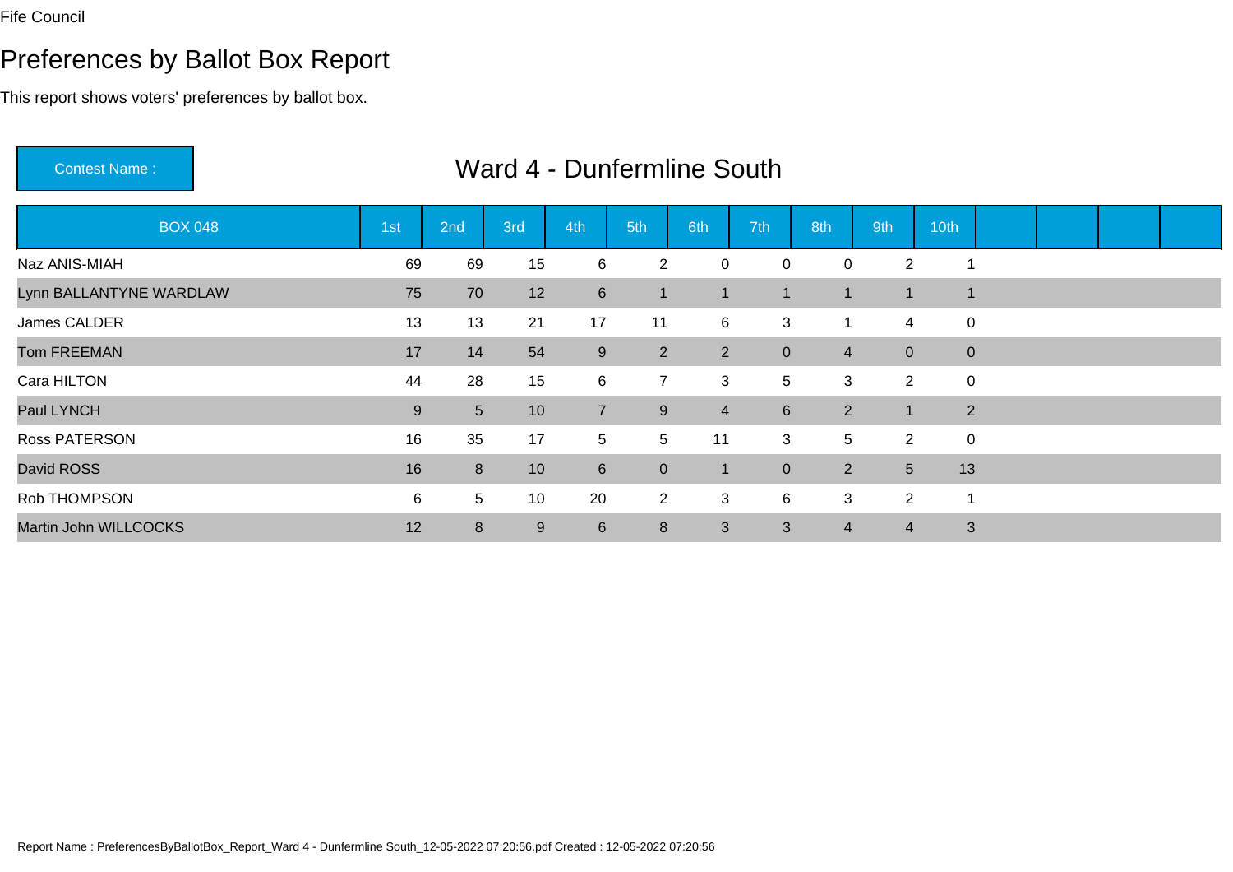# Preferences by Ballot Box Report

This report shows voters' preferences by ballot box.

Contest Name :

| <b>BOX 048</b>          | 1st | 2nd             | 3rd | 4th            | 5th            | 6th            | 7th             | 8th            | 9th            | 10th        |  |  |
|-------------------------|-----|-----------------|-----|----------------|----------------|----------------|-----------------|----------------|----------------|-------------|--|--|
| Naz ANIS-MIAH           | 69  | 69              | 15  | 6              | $\overline{2}$ | 0              | $\mathbf 0$     | $\mathbf 0$    | $\overline{2}$ |             |  |  |
| Lynn BALLANTYNE WARDLAW | 75  | 70              | 12  | $6\phantom{1}$ | $\blacksquare$ |                | -1              | 1              | $\mathbf 1$    | 1           |  |  |
| James CALDER            | 13  | 13              | 21  | 17             | 11             | 6              | 3               | 1              | 4              | 0           |  |  |
| <b>Tom FREEMAN</b>      | 17  | 14              | 54  | 9              | $\overline{2}$ | $\overline{2}$ | $\overline{0}$  | $\overline{4}$ | $\overline{0}$ | $\mathbf 0$ |  |  |
| Cara HILTON             | 44  | 28              | 15  | 6              | $\overline{7}$ | 3              | $5\overline{)}$ | 3              | $\overline{2}$ | $\mathbf 0$ |  |  |
| Paul LYNCH              | 9   | 5 <sup>5</sup>  | 10  | $\overline{7}$ | 9              | $\overline{4}$ | $6^{\circ}$     | $\overline{2}$ | $\mathbf 1$    | 2           |  |  |
| <b>Ross PATERSON</b>    | 16  | 35              | 17  | 5              | 5              | 11             | 3               | 5              | $\overline{2}$ | $\pmb{0}$   |  |  |
| David ROSS              | 16  | 8               | 10  | $6\phantom{1}$ | $\mathbf 0$    |                | $\overline{0}$  | $\overline{2}$ | 5 <sup>5</sup> | 13          |  |  |
| Rob THOMPSON            | 6   | $5\overline{)}$ | 10  | 20             | $\overline{2}$ | 3              | 6               | 3              | $\overline{2}$ |             |  |  |
| Martin John WILLCOCKS   | 12  | 8               | 9   | 6              | 8              | 3              | 3               | $\overline{4}$ | $\overline{4}$ | 3           |  |  |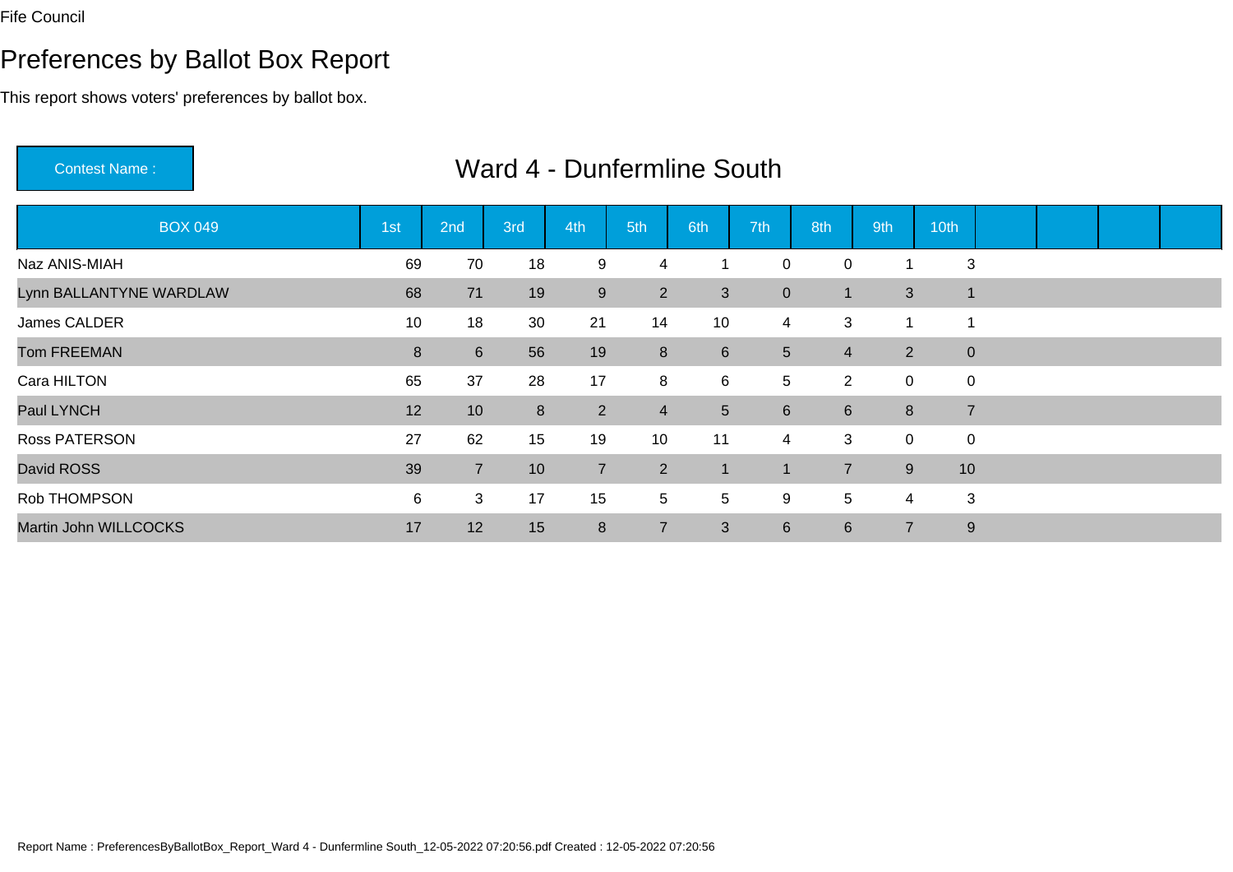# Preferences by Ballot Box Report

This report shows voters' preferences by ballot box.

Contest Name :

| <b>BOX 049</b>          | 1st     | 2nd            | 3rd | 4th            | 5th             | 6th             | 7th                     | 8th            | 9th            | 10th           |  |  |
|-------------------------|---------|----------------|-----|----------------|-----------------|-----------------|-------------------------|----------------|----------------|----------------|--|--|
| Naz ANIS-MIAH           | 69      | 70             | 18  | 9              | 4               |                 | $\mathbf 0$             | $\pmb{0}$      |                | 3              |  |  |
| Lynn BALLANTYNE WARDLAW | 68      | 71             | 19  | $9\,$          | $\overline{2}$  | 3               | $\overline{0}$          | 1              | 3              | $\overline{1}$ |  |  |
| James CALDER            | 10      | 18             | 30  | 21             | 14              | 10              | 4                       | 3              | -4             |                |  |  |
| <b>Tom FREEMAN</b>      | $\bf 8$ | $6 \,$         | 56  | 19             | 8               | 6               | 5 <sup>5</sup>          | $\overline{4}$ | $\overline{2}$ | $\mathbf 0$    |  |  |
| Cara HILTON             | 65      | 37             | 28  | 17             | 8               | 6               | 5                       | $\overline{2}$ | $\mathbf 0$    | $\mathbf 0$    |  |  |
| Paul LYNCH              | 12      | 10             | 8   | $\overline{2}$ | $\overline{4}$  | 5 <sup>5</sup>  | $6^{\circ}$             | $6\phantom{1}$ | 8              | $\overline{7}$ |  |  |
| Ross PATERSON           | 27      | 62             | 15  | 19             | 10              | 11              | 4                       | 3              | $\mathbf 0$    | 0              |  |  |
| David ROSS              | 39      | $\overline{7}$ | 10  | $\overline{7}$ | $\overline{2}$  |                 | $\overline{\mathbf{A}}$ | $\overline{7}$ | 9              | 10             |  |  |
| Rob THOMPSON            | 6       | 3              | 17  | 15             | $5\phantom{.0}$ | $5\overline{)}$ | 9                       | 5              | $\overline{4}$ | 3              |  |  |
| Martin John WILLCOCKS   | 17      | 12             | 15  | 8              | $\overline{7}$  | 3               | $6^{\circ}$             | 6              | $\overline{7}$ | 9              |  |  |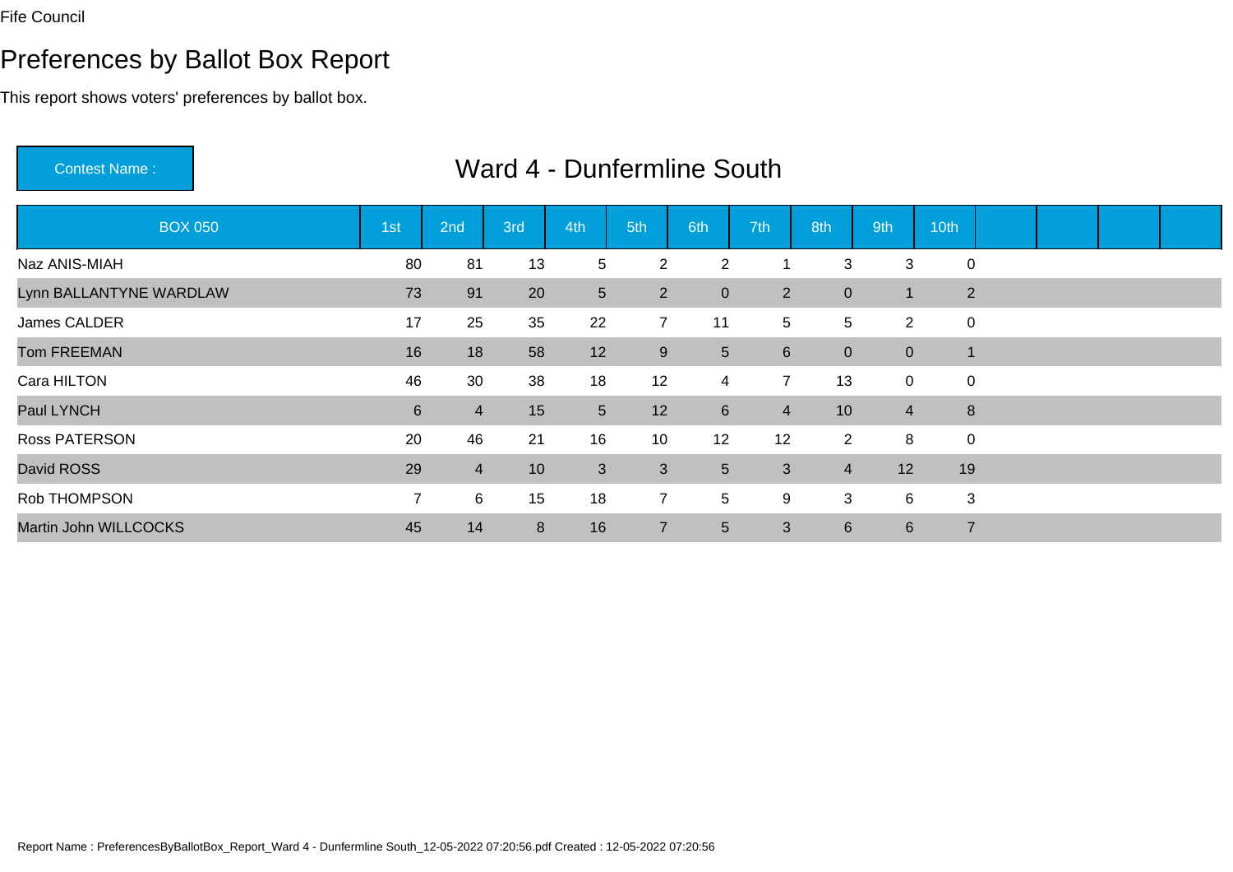# Preferences by Ballot Box Report

This report shows voters' preferences by ballot box.

Contest Name :

| <b>BOX 050</b>          | 1st              | 2nd            | 3rd | 4th            | 5th            | 6th              | 7th            | 8th              | 9th              | 10th           |  |  |
|-------------------------|------------------|----------------|-----|----------------|----------------|------------------|----------------|------------------|------------------|----------------|--|--|
| Naz ANIS-MIAH           | 80               | 81             | 13  | 5              | $\overline{2}$ | $\overline{2}$   | 1              | 3                | 3                | $\mathbf 0$    |  |  |
| Lynn BALLANTYNE WARDLAW | 73               | 91             | 20  | $\overline{5}$ | 2 <sup>1</sup> | $\overline{0}$   | $2^{\circ}$    | $\boldsymbol{0}$ | $\mathbf 1$      | $\overline{2}$ |  |  |
| James CALDER            | 17               | 25             | 35  | 22             | $\overline{7}$ | 11               | 5              | 5                | $\overline{2}$   | 0              |  |  |
| <b>Tom FREEMAN</b>      | 16               | 18             | 58  | 12             | 9              | 5                | $6^{\circ}$    | $\mathbf{0}$     | $\overline{0}$   | $\blacksquare$ |  |  |
| Cara HILTON             | 46               | 30             | 38  | 18             | 12             | 4                | $\overline{7}$ | 13               | $\mathbf 0$      | $\mathbf 0$    |  |  |
| Paul LYNCH              | $6 \overline{6}$ | $\overline{4}$ | 15  | $5\phantom{.}$ | 12             | $6 \overline{6}$ | $\overline{4}$ | 10               | $\overline{4}$   | 8              |  |  |
| <b>Ross PATERSON</b>    | 20               | 46             | 21  | 16             | 10             | 12               | 12             | $\overline{2}$   | 8                | $\mathbf 0$    |  |  |
| David ROSS              | 29               | $\overline{4}$ | 10  | 3              | $\mathbf{3}$   | 5 <sup>5</sup>   | $\mathbf{3}$   | $\overline{4}$   | 12               | 19             |  |  |
| Rob THOMPSON            | $\overline{7}$   | 6              | 15  | 18             | $\overline{7}$ | 5                | 9              | 3                | 6                | 3              |  |  |
| Martin John WILLCOCKS   | 45               | 14             | 8   | 16             | $\overline{7}$ | 5                | 3              | $6\phantom{1}$   | $6 \overline{6}$ | $\overline{7}$ |  |  |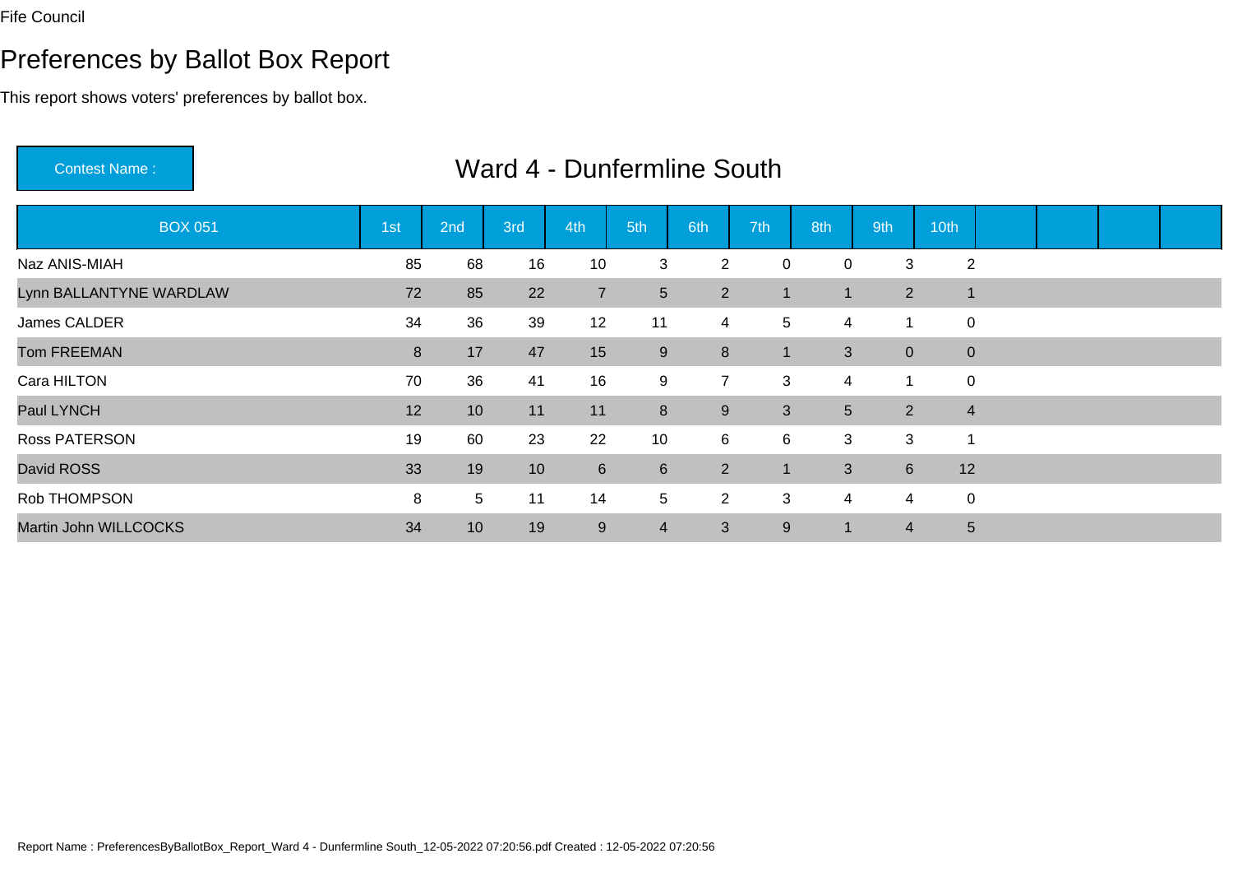# Preferences by Ballot Box Report

This report shows voters' preferences by ballot box.

Contest Name :

| <b>BOX 051</b>          | 1st | 2nd             | 3rd | 4th            | 5th            | 6th            | 7th          | 8th            | 9th             | 10th            |  |  |
|-------------------------|-----|-----------------|-----|----------------|----------------|----------------|--------------|----------------|-----------------|-----------------|--|--|
| Naz ANIS-MIAH           | 85  | 68              | 16  | 10             | 3              | $\overline{2}$ | 0            | 0              | 3               | $\overline{c}$  |  |  |
| Lynn BALLANTYNE WARDLAW | 72  | 85              | 22  | $\overline{7}$ | $5\phantom{.}$ | $\overline{2}$ |              | 1              | $\overline{2}$  | 1               |  |  |
| James CALDER            | 34  | 36              | 39  | 12             | 11             | 4              | 5            | 4              | 1               | 0               |  |  |
| <b>Tom FREEMAN</b>      | 8   | 17              | 47  | 15             | 9              | 8              | $\mathbf 1$  | 3              | $\overline{0}$  | $\mathbf 0$     |  |  |
| Cara HILTON             | 70  | 36              | 41  | 16             | 9              | $\overline{7}$ | 3            | 4              | 1               | 0               |  |  |
| Paul LYNCH              | 12  | 10              | 11  | 11             | 8              | 9              | $\mathbf{3}$ | 5              | 2               | $\overline{4}$  |  |  |
| <b>Ross PATERSON</b>    | 19  | 60              | 23  | 22             | 10             | 6              | 6            | 3              | 3               | 1               |  |  |
| David ROSS              | 33  | 19              | 10  | $6\phantom{1}$ | $6\phantom{1}$ | $\overline{2}$ | 1            | $\mathfrak{S}$ | $6\overline{6}$ | 12              |  |  |
| Rob THOMPSON            | 8   | 5 <sup>5</sup>  | 11  | 14             | 5              | $\overline{2}$ | 3            | 4              | 4               | 0               |  |  |
| Martin John WILLCOCKS   | 34  | 10 <sup>°</sup> | 19  | 9              | $\overline{4}$ | 3              | 9            | 1              | $\overline{4}$  | $5\phantom{.0}$ |  |  |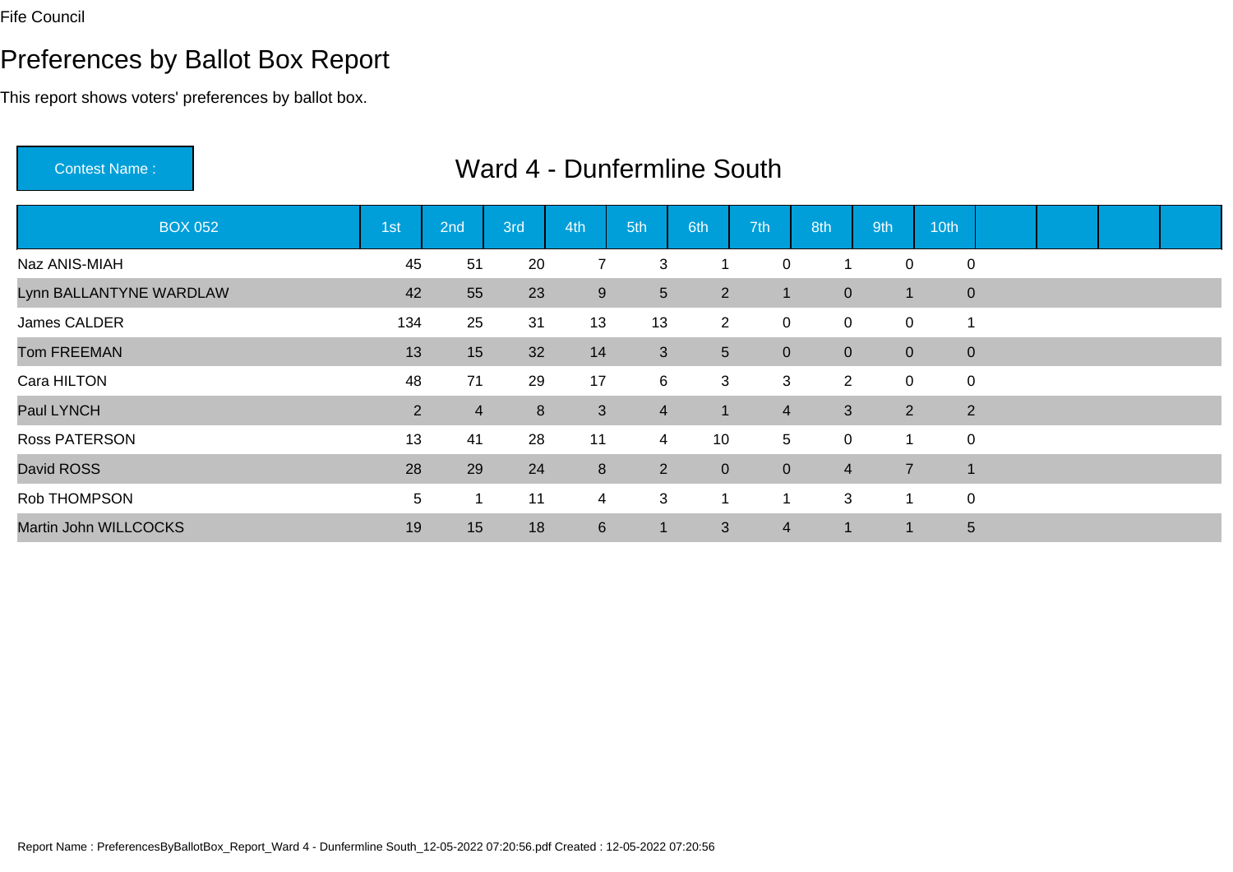# Preferences by Ballot Box Report

This report shows voters' preferences by ballot box.

Contest Name :

| <b>BOX 052</b>          | 1st            | 2nd            | 3rd | 4th            | 5th            | 6th            | 7th            | 8th                     | 9th            | 10th           |  |  |
|-------------------------|----------------|----------------|-----|----------------|----------------|----------------|----------------|-------------------------|----------------|----------------|--|--|
| Naz ANIS-MIAH           | 45             | 51             | 20  | $\overline{7}$ | 3              |                | $\mathbf 0$    | $\overline{\mathbf{1}}$ | 0              | 0              |  |  |
| Lynn BALLANTYNE WARDLAW | 42             | 55             | 23  | 9              | $5\phantom{.}$ | $\overline{2}$ |                | $\mathbf{0}$            | 1              | $\mathbf{0}$   |  |  |
| James CALDER            | 134            | 25             | 31  | 13             | 13             | $\overline{2}$ | $\mathbf 0$    | $\mathbf 0$             | 0              | 1              |  |  |
| <b>Tom FREEMAN</b>      | 13             | 15             | 32  | 14             | $\mathbf{3}$   | 5 <sup>5</sup> | $\overline{0}$ | $\mathbf{0}$            | $\overline{0}$ | $\mathbf 0$    |  |  |
| Cara HILTON             | 48             | 71             | 29  | 17             | 6              | 3              | 3              | $\overline{2}$          | $\mathbf 0$    | 0              |  |  |
| Paul LYNCH              | $\overline{2}$ | $\overline{4}$ | 8   | 3              | $\overline{4}$ | $\mathbf 1$    | $\overline{4}$ | $\mathfrak{S}$          | $\overline{2}$ | $\overline{2}$ |  |  |
| Ross PATERSON           | 13             | 41             | 28  | 11             | $\overline{4}$ | 10             | 5              | $\mathbf 0$             | 1              | 0              |  |  |
| David ROSS              | 28             | 29             | 24  | 8              | $\overline{2}$ | $\overline{0}$ | $\overline{0}$ | $\overline{4}$          | $\overline{7}$ | $\mathbf 1$    |  |  |
| Rob THOMPSON            | 5              | -1             | 11  | $\overline{4}$ | $\mathbf{3}$   |                |                | 3                       | 1              | 0              |  |  |
| Martin John WILLCOCKS   | 19             | 15             | 18  | $6\phantom{1}$ | $\mathbf 1$    | 3              | $\overline{4}$ | $\blacktriangleleft$    | 1              | $5\phantom{.}$ |  |  |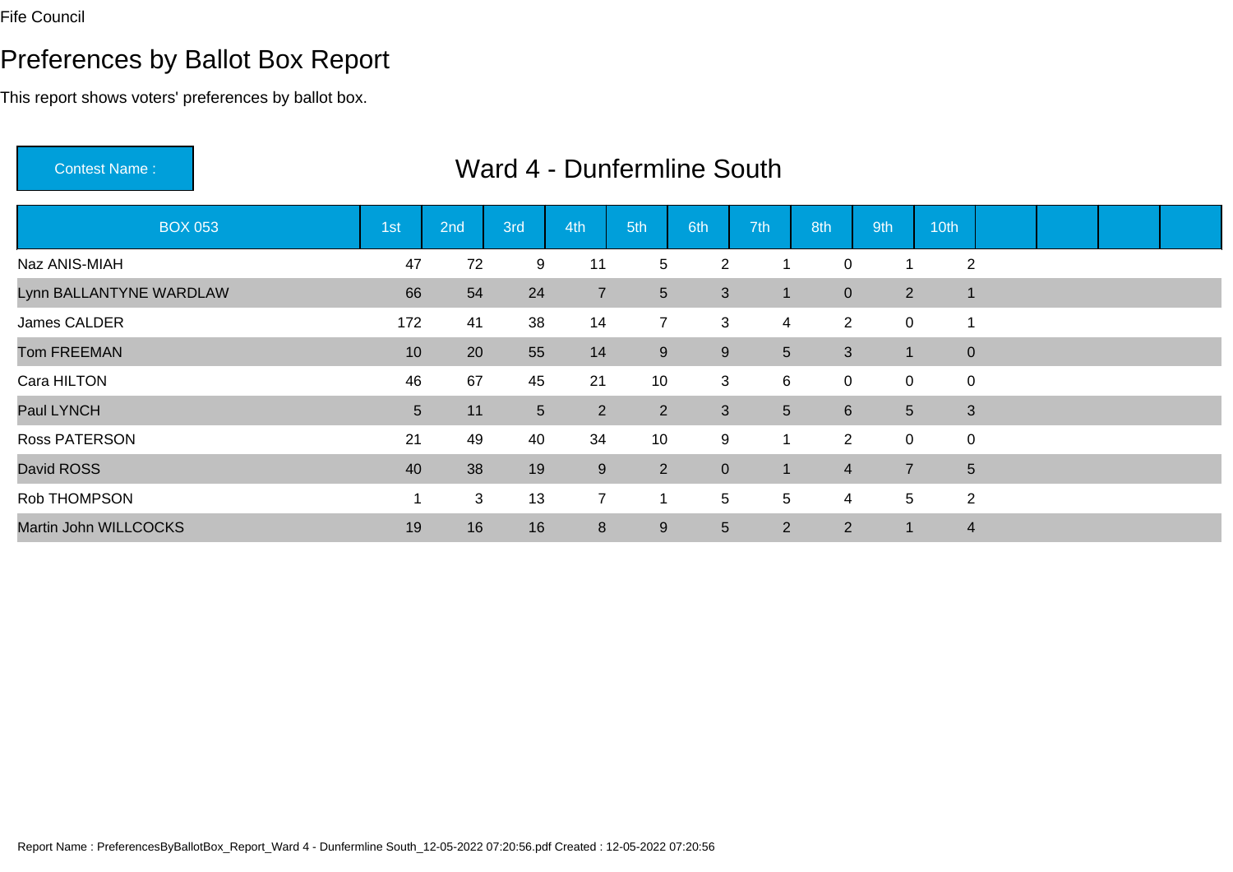# Preferences by Ballot Box Report

This report shows voters' preferences by ballot box.

Contest Name :

| <b>BOX 053</b>          | 1st            | 2nd | 3rd             | 4th            | 5th             | 6th            | 7th            | 8th              | 9th            | 10th           |  |  |
|-------------------------|----------------|-----|-----------------|----------------|-----------------|----------------|----------------|------------------|----------------|----------------|--|--|
| Naz ANIS-MIAH           | 47             | 72  | 9               | 11             | 5               | $\overline{2}$ | 1              | $\mathbf 0$      |                | $\overline{2}$ |  |  |
| Lynn BALLANTYNE WARDLAW | 66             | 54  | 24              | $\overline{7}$ | $5\phantom{.0}$ | $\mathfrak{S}$ | -1             | $\boldsymbol{0}$ | $\overline{2}$ | 1              |  |  |
| James CALDER            | 172            | 41  | 38              | 14             | $\overline{7}$  | 3              | 4              | $\overline{2}$   | 0              |                |  |  |
| <b>Tom FREEMAN</b>      | 10             | 20  | 55              | 14             | 9               | $9\,$          | 5 <sup>5</sup> | 3                | $\mathbf 1$    | $\mathbf 0$    |  |  |
| Cara HILTON             | 46             | 67  | 45              | 21             | 10              | 3              | 6              | $\mathbf 0$      | $\mathbf 0$    | $\mathbf 0$    |  |  |
| Paul LYNCH              | 5 <sup>5</sup> | 11  | $5\phantom{.0}$ | $\overline{2}$ | 2               | 3              | 5 <sup>5</sup> | $6\phantom{1}$   | 5 <sup>5</sup> | 3              |  |  |
| Ross PATERSON           | 21             | 49  | 40              | 34             | 10              | 9              | $\mathbf 1$    | 2                | $\mathbf 0$    | $\pmb{0}$      |  |  |
| David ROSS              | 40             | 38  | 19              | 9              | $2^{\circ}$     | $\overline{0}$ | -1             | $\overline{4}$   | $\overline{7}$ | $5\phantom{.}$ |  |  |
| Rob THOMPSON            |                | 3   | 13              | $\overline{7}$ | 1               | 5              | 5              | 4                | 5              | $\overline{2}$ |  |  |
| Martin John WILLCOCKS   | 19             | 16  | 16              | 8              | 9               | 5              | $\overline{2}$ | $\overline{2}$   | $\blacksquare$ | $\overline{4}$ |  |  |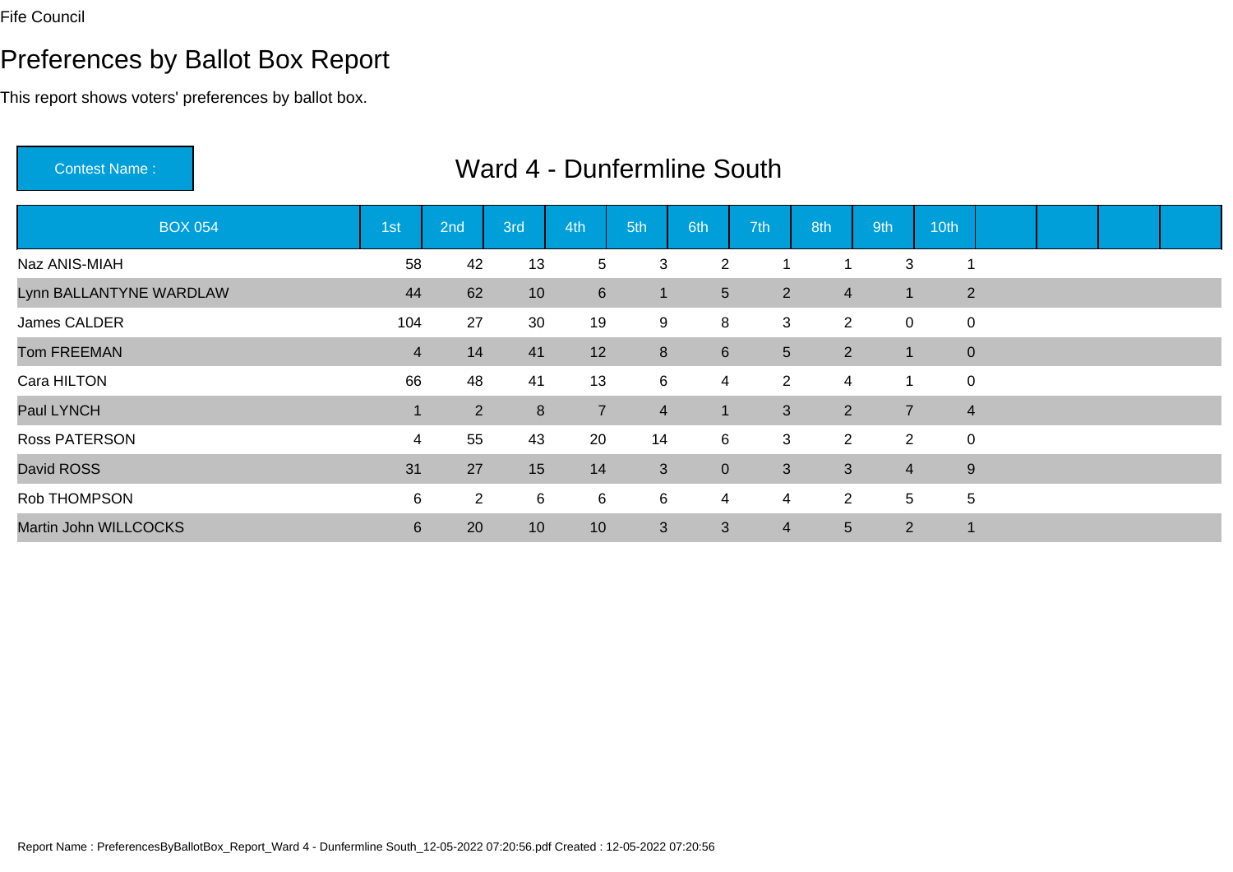# Preferences by Ballot Box Report

This report shows voters' preferences by ballot box.

Contest Name :

| <b>BOX 054</b>          | 1st              | 2nd            | 3rd | 4th            | 5th            | 6th             | 7th            | 8th            | 9th            | 10th           |  |  |
|-------------------------|------------------|----------------|-----|----------------|----------------|-----------------|----------------|----------------|----------------|----------------|--|--|
| Naz ANIS-MIAH           | 58               | 42             | 13  | 5              | 3              | $\overline{2}$  | 1              |                | 3              |                |  |  |
| Lynn BALLANTYNE WARDLAW | 44               | 62             | 10  | $6\phantom{1}$ | $\mathbf 1$    | $5\overline{)}$ | $\overline{2}$ | $\overline{4}$ | $\mathbf 1$    | 2              |  |  |
| James CALDER            | 104              | 27             | 30  | 19             | 9              | 8               | 3              | $\overline{2}$ | $\mathbf 0$    | 0              |  |  |
| <b>Tom FREEMAN</b>      | $\overline{4}$   | 14             | 41  | 12             | 8              | 6               | 5 <sup>5</sup> | $\overline{2}$ | $\blacksquare$ | $\mathbf{0}$   |  |  |
| Cara HILTON             | 66               | 48             | 41  | 13             | 6              | 4               | 2              | 4              | 1              | $\mathbf 0$    |  |  |
| Paul LYNCH              |                  | $\overline{2}$ | 8   | $\overline{7}$ | $\overline{4}$ |                 | 3              | 2              | $\overline{7}$ | $\overline{4}$ |  |  |
| Ross PATERSON           | 4                | 55             | 43  | 20             | 14             | 6               | 3              | 2              | $\overline{2}$ | 0              |  |  |
| David ROSS              | 31               | 27             | 15  | 14             | $\mathbf{3}$   | $\overline{0}$  | 3 <sup>1</sup> | 3              | $\overline{4}$ | 9              |  |  |
| Rob THOMPSON            | 6                | $\overline{2}$ | 6   | 6              | 6              | 4               | 4              | 2              | 5              | 5              |  |  |
| Martin John WILLCOCKS   | $6 \overline{6}$ | 20             | 10  | 10             | 3              | 3               | $\overline{4}$ | 5              | $\overline{2}$ |                |  |  |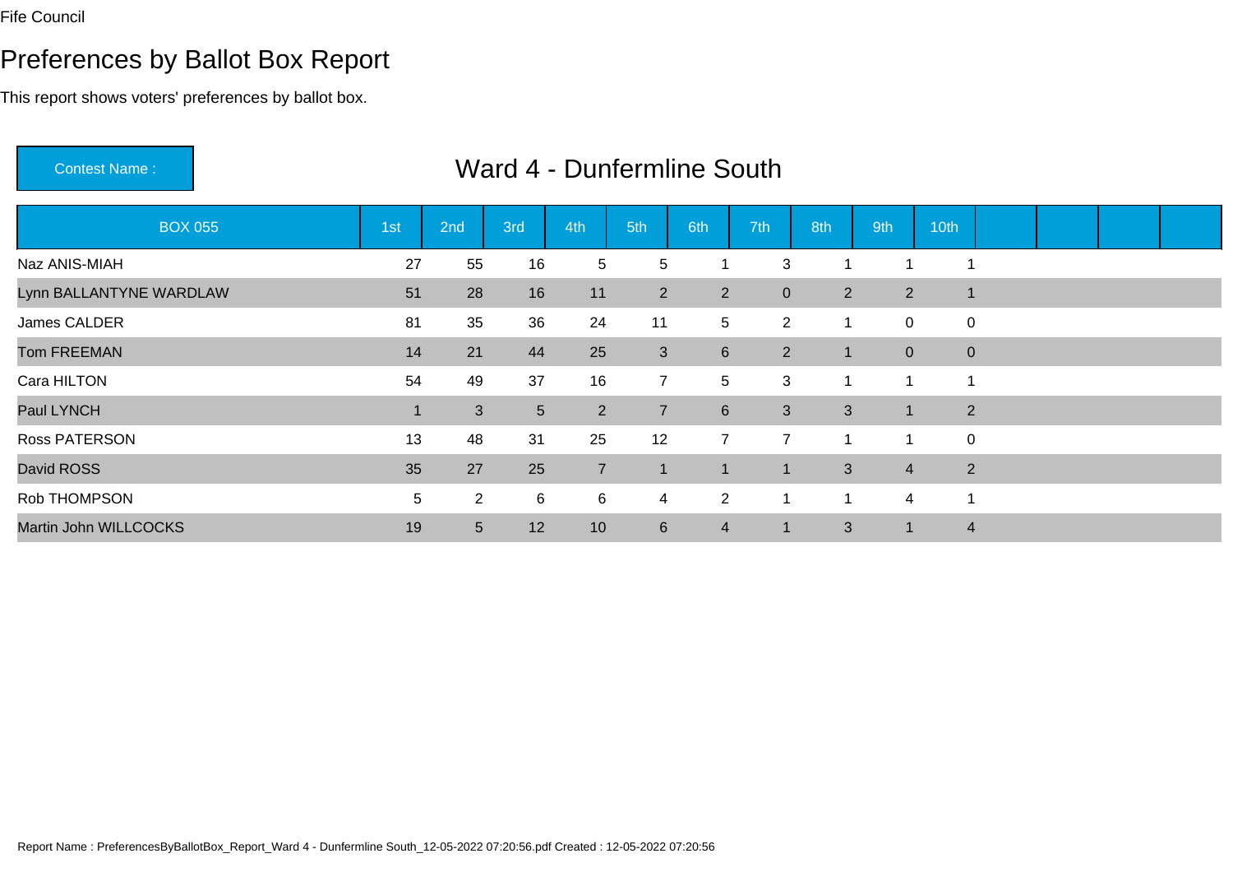# Preferences by Ballot Box Report

This report shows voters' preferences by ballot box.

Contest Name :

| <b>BOX 055</b>          | 1st | 2nd            | 3rd        | 4th            | 5th             | 6th              | 7th            | 8th                      | 9th            | 10th                    |  |  |
|-------------------------|-----|----------------|------------|----------------|-----------------|------------------|----------------|--------------------------|----------------|-------------------------|--|--|
| Naz ANIS-MIAH           | 27  | 55             | 16         | 5              | 5               |                  | 3              |                          |                |                         |  |  |
| Lynn BALLANTYNE WARDLAW | 51  | 28             | 16         | 11             | $2^{\circ}$     | $\overline{2}$   | $\overline{0}$ | 2                        | 2              | -1                      |  |  |
| James CALDER            | 81  | 35             | 36         | 24             | 11              | 5                | $\overline{2}$ | 1                        | $\mathbf 0$    | 0                       |  |  |
| <b>Tom FREEMAN</b>      | 14  | 21             | 44         | 25             | $\mathbf{3}$    | $6\phantom{1}$   | $\overline{2}$ | 1                        | $\overline{0}$ | $\mathbf 0$             |  |  |
| Cara HILTON             | 54  | 49             | 37         | 16             | $\overline{7}$  | 5                | 3              | $\overline{\phantom{a}}$ |                | $\overline{\mathbf{A}}$ |  |  |
| Paul LYNCH              |     | $\mathbf{3}$   | $\sqrt{5}$ | $\overline{2}$ | $\overline{7}$  | $6 \overline{6}$ | $\mathbf{3}$   | 3                        | $\vert$ 1      | 2                       |  |  |
| Ross PATERSON           | 13  | 48             | 31         | 25             | 12              | $\overline{7}$   | $\overline{7}$ | -4                       | ×,             | $\mathbf 0$             |  |  |
| David ROSS              | 35  | 27             | 25         | $\overline{7}$ | $\blacksquare$  |                  | -1             | 3                        | $\overline{4}$ | $\overline{2}$          |  |  |
| Rob THOMPSON            | 5   | $\overline{2}$ | 6          | 6              | $\overline{4}$  | $\overline{2}$   | 1              | ٠                        | 4              |                         |  |  |
| Martin John WILLCOCKS   | 19  | 5 <sup>5</sup> | 12         | 10             | $6\overline{6}$ | 4                | -1             | 3                        | $\mathbf 1$    | $\overline{4}$          |  |  |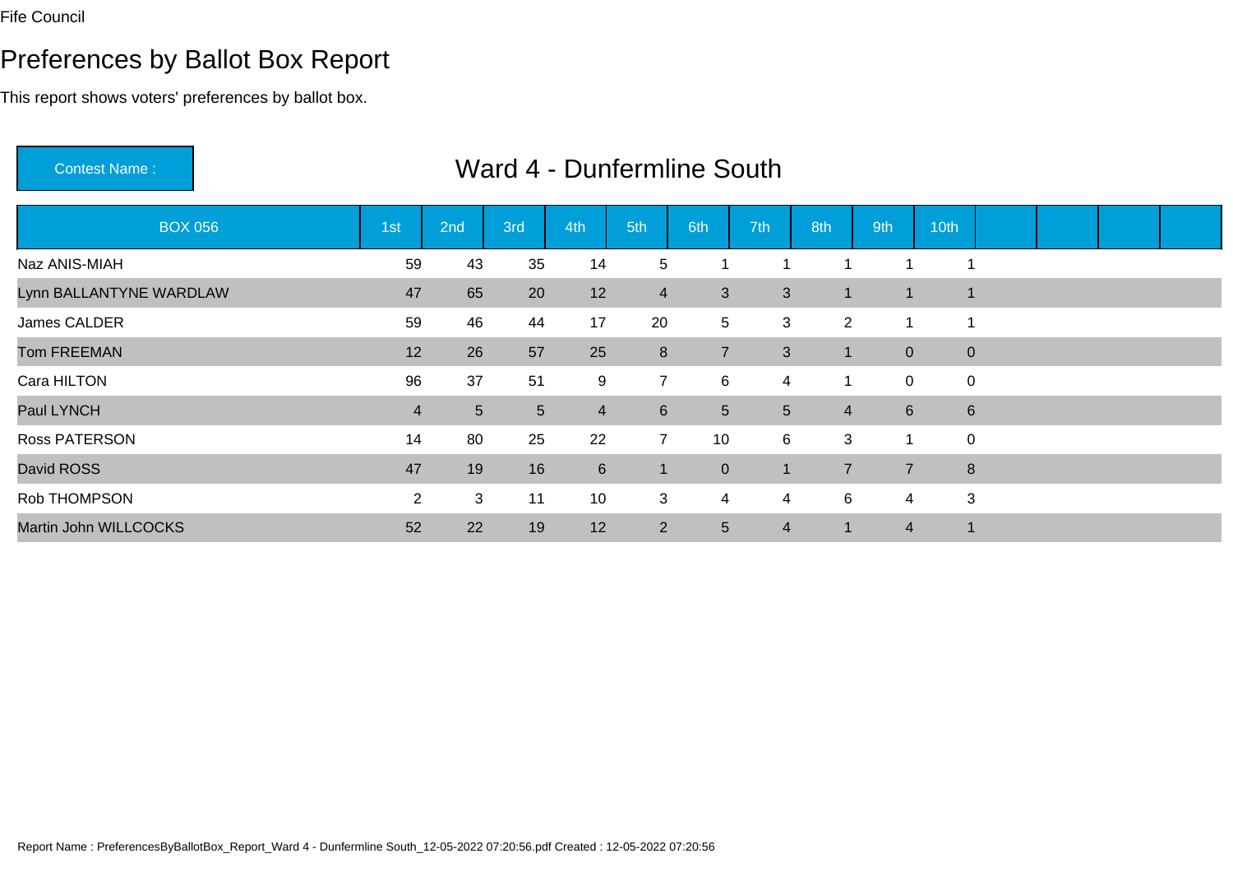# Preferences by Ballot Box Report

This report shows voters' preferences by ballot box.

Contest Name :

| <b>BOX 056</b>          | 1st            | 2nd            | 3rd             | 4th              | 5th            | 6th            | 7th            | 8th            | 9th            | 10th           |  |  |
|-------------------------|----------------|----------------|-----------------|------------------|----------------|----------------|----------------|----------------|----------------|----------------|--|--|
| Naz ANIS-MIAH           | 59             | 43             | 35              | 14               | 5              |                |                | 1              |                |                |  |  |
| Lynn BALLANTYNE WARDLAW | 47             | 65             | 20              | 12               | $\overline{4}$ | 3              | $\mathbf{3}$   | -1             | 1              | $\overline{1}$ |  |  |
| James CALDER            | 59             | 46             | 44              | 17               | 20             | 5              | 3              | $\overline{2}$ | 1              |                |  |  |
| <b>Tom FREEMAN</b>      | 12             | 26             | 57              | 25               | 8              | 7              | $\mathbf{3}$   | -1             | $\overline{0}$ | $\overline{0}$ |  |  |
| Cara HILTON             | 96             | 37             | 51              | 9                | $\overline{7}$ | 6              | $\overline{4}$ | 1              | 0              | 0              |  |  |
| Paul LYNCH              | $\overline{4}$ | 5 <sup>5</sup> | $5\phantom{.0}$ | $\overline{4}$   | $6\phantom{1}$ | 5 <sup>5</sup> | 5 <sup>5</sup> | $\overline{4}$ | $6\phantom{1}$ | 6              |  |  |
| Ross PATERSON           | 14             | 80             | 25              | 22               | $\overline{7}$ | 10             | 6              | 3              | 1              | 0              |  |  |
| David ROSS              | 47             | 19             | 16              | $6 \overline{6}$ | $\mathbf 1$    | $\mathbf{0}$   | 1              | $\overline{7}$ | $\overline{7}$ | 8              |  |  |
| Rob THOMPSON            | $\overline{2}$ | 3              | 11              | 10               | 3              | 4              | 4              | $\,6$          | 4              | 3              |  |  |
| Martin John WILLCOCKS   | 52             | 22             | 19              | 12               | 2              | $5\phantom{.}$ | 4              | 1              | $\overline{4}$ | $\mathbf{1}$   |  |  |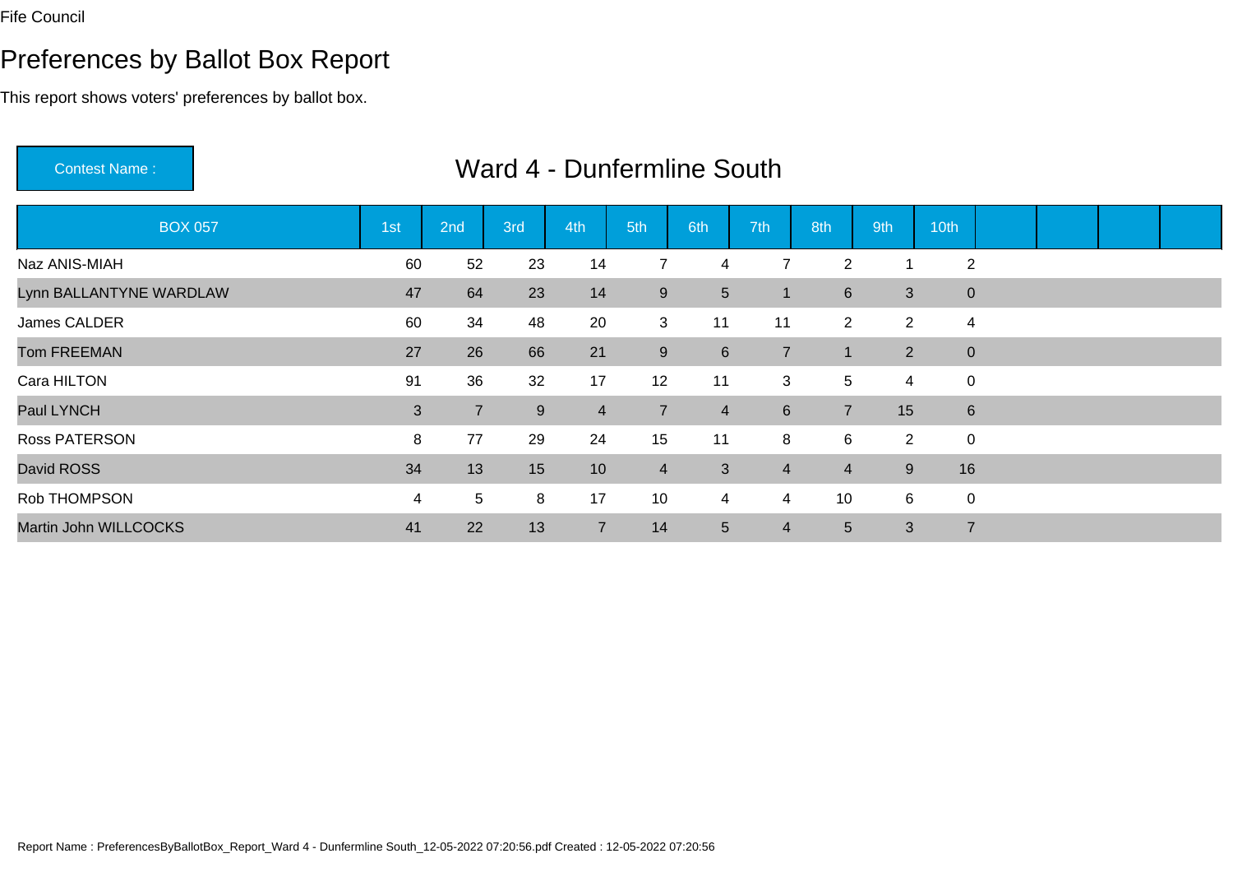# Preferences by Ballot Box Report

This report shows voters' preferences by ballot box.

Contest Name :

| <b>BOX 057</b>          | 1st | 2nd             | 3rd | 4th            | 5th            | 6th            | 7th            | 8th            | 9th            | 10th           |  |  |
|-------------------------|-----|-----------------|-----|----------------|----------------|----------------|----------------|----------------|----------------|----------------|--|--|
| Naz ANIS-MIAH           | 60  | 52              | 23  | 14             |                | 4              | 7              | $\overline{2}$ |                | $\overline{2}$ |  |  |
| Lynn BALLANTYNE WARDLAW | 47  | 64              | 23  | 14             | 9              | 5 <sup>5</sup> | -1             | $6\phantom{1}$ | 3              | $\mathbf{0}$   |  |  |
| James CALDER            | 60  | 34              | 48  | 20             | 3              | 11             | 11             | 2              | $\overline{2}$ | 4              |  |  |
| <b>Tom FREEMAN</b>      | 27  | 26              | 66  | 21             | 9              | $6\phantom{1}$ | $\overline{7}$ |                | $\overline{2}$ | $\mathbf 0$    |  |  |
| Cara HILTON             | 91  | 36              | 32  | 17             | 12             | 11             | 3              | 5              | $\overline{4}$ | $\mathbf 0$    |  |  |
| Paul LYNCH              | 3   | $\overline{7}$  | 9   | $\overline{4}$ | $\overline{7}$ | $\overline{4}$ | $6^{\circ}$    | $\overline{7}$ | 15             | $6\phantom{1}$ |  |  |
| <b>Ross PATERSON</b>    | 8   | 77              | 29  | 24             | 15             | 11             | 8              | $\,6$          | $\overline{2}$ | $\mathbf 0$    |  |  |
| David ROSS              | 34  | 13              | 15  | 10             | $\overline{4}$ | 3              | $\overline{4}$ | $\overline{4}$ | 9              | 16             |  |  |
| Rob THOMPSON            | 4   | $5\overline{)}$ | 8   | 17             | 10             | 4              | 4              | 10             | 6              | $\mathbf 0$    |  |  |
| Martin John WILLCOCKS   | 41  | 22              | 13  | $\overline{7}$ | 14             | 5 <sup>5</sup> | $\overline{4}$ | 5              | 3              | $\overline{7}$ |  |  |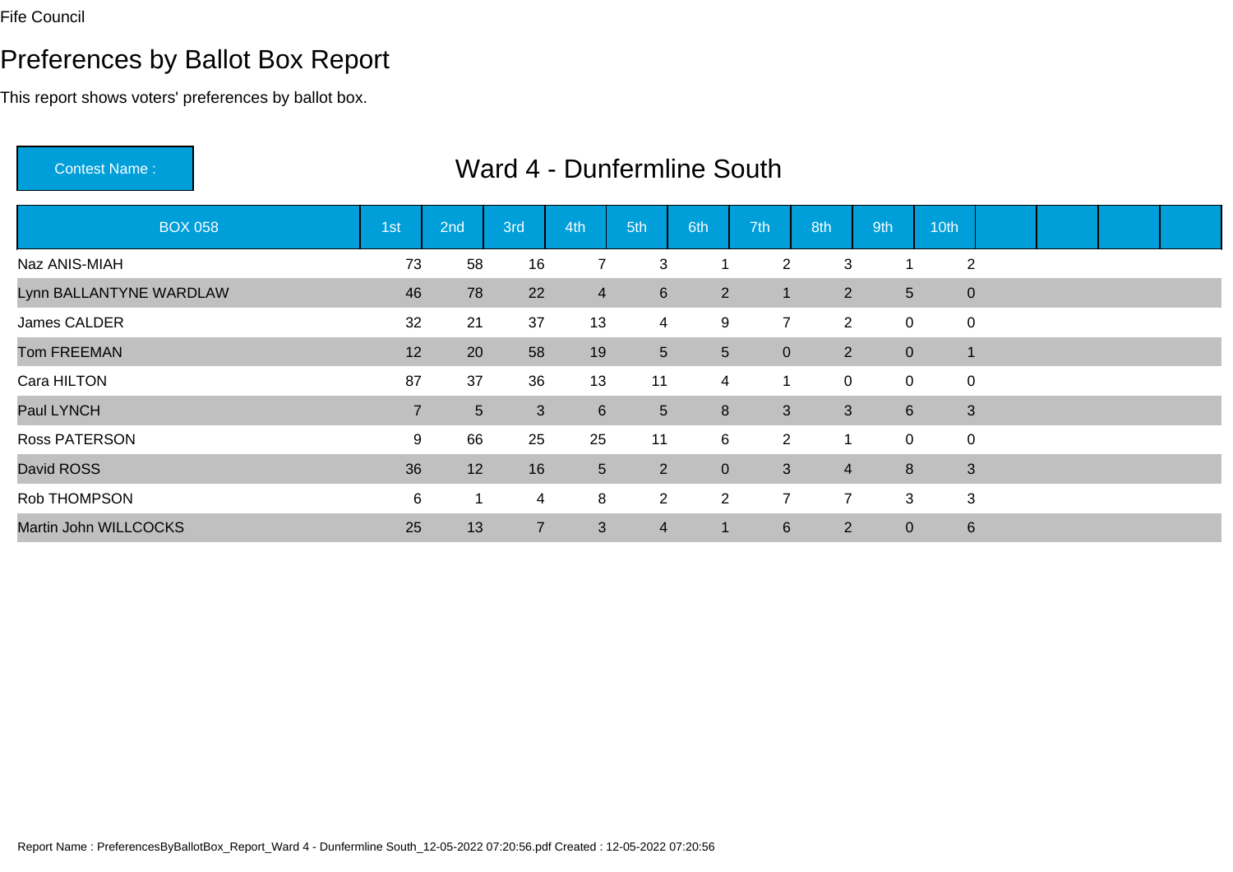# Preferences by Ballot Box Report

This report shows voters' preferences by ballot box.

Contest Name :

| <b>BOX 058</b>          | 1st            | 2nd            | 3rd            | 4th            | 5th             | 6th             | 7th            | 8th            | 9th            | 10th           |  |  |
|-------------------------|----------------|----------------|----------------|----------------|-----------------|-----------------|----------------|----------------|----------------|----------------|--|--|
| Naz ANIS-MIAH           | 73             | 58             | 16             |                | 3               |                 | $\overline{2}$ | 3              |                | 2              |  |  |
| Lynn BALLANTYNE WARDLAW | 46             | 78             | 22             | $\overline{4}$ | $6\phantom{1}6$ | $\overline{2}$  | -1             | $\overline{2}$ | 5 <sup>5</sup> | $\mathbf 0$    |  |  |
| James CALDER            | 32             | 21             | 37             | 13             | $\overline{4}$  | 9               | $\overline{7}$ | $\overline{2}$ | $\mathbf 0$    | 0              |  |  |
| <b>Tom FREEMAN</b>      | 12             | 20             | 58             | 19             | $\sqrt{5}$      | $5\phantom{.0}$ | $\overline{0}$ | $\overline{2}$ | $\overline{0}$ | $\overline{1}$ |  |  |
| Cara HILTON             | 87             | 37             | 36             | 13             | 11              | 4               | $\overline{1}$ | $\mathbf 0$    | $\overline{0}$ | $\pmb{0}$      |  |  |
| Paul LYNCH              | $\overline{7}$ | 5 <sup>5</sup> | 3              | $6\phantom{1}$ | $5\phantom{.0}$ | 8               | 3              | 3              | 6              | $\mathbf{3}$   |  |  |
| <b>Ross PATERSON</b>    | 9              | 66             | 25             | 25             | 11              | 6               | $\overline{2}$ | 1              | $\mathbf 0$    | 0              |  |  |
| David ROSS              | 36             | 12             | 16             | $\overline{5}$ | $\overline{2}$  | $\overline{0}$  | 3 <sup>1</sup> | $\overline{4}$ | 8              | 3              |  |  |
| Rob THOMPSON            | 6              |                | 4              | 8              | $\overline{2}$  | $\overline{2}$  | $\overline{7}$ | $\overline{7}$ | 3              | 3              |  |  |
| Martin John WILLCOCKS   | 25             | 13             | $\overline{7}$ | 3              | $\overline{4}$  |                 | $6^{\circ}$    | $\overline{2}$ | $\overline{0}$ | 6              |  |  |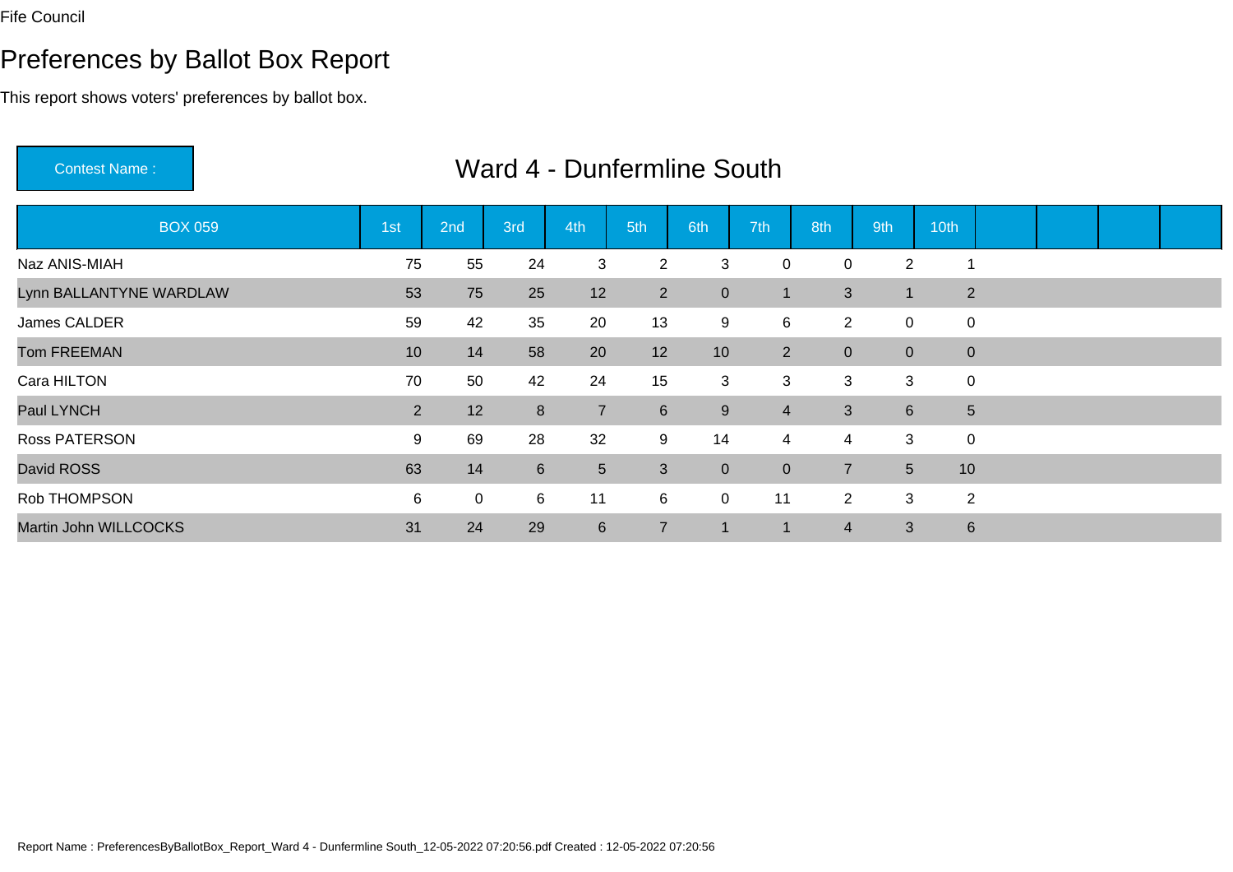# Preferences by Ballot Box Report

This report shows voters' preferences by ballot box.

Contest Name :

| <b>BOX 059</b>          | 1st            | 2nd         | 3rd            | 4th             | 5th            | 6th             | 7th            | 8th            | 9th              | 10th           |  |  |
|-------------------------|----------------|-------------|----------------|-----------------|----------------|-----------------|----------------|----------------|------------------|----------------|--|--|
| Naz ANIS-MIAH           | 75             | 55          | 24             | 3               | $\overline{2}$ | 3               | 0              | 0              | $\overline{2}$   | -1             |  |  |
| Lynn BALLANTYNE WARDLAW | 53             | 75          | 25             | 12              | $\overline{2}$ | $\overline{0}$  |                | 3              | 1                | $\overline{2}$ |  |  |
| James CALDER            | 59             | 42          | 35             | 20              | 13             | 9               | 6              | $\overline{2}$ | 0                | 0              |  |  |
| <b>Tom FREEMAN</b>      | 10             | 14          | 58             | 20              | 12             | 10 <sup>°</sup> | $\overline{2}$ | $\mathbf{0}$   | $\overline{0}$   | $\mathbf{0}$   |  |  |
| Cara HILTON             | 70             | 50          | 42             | 24              | 15             | 3               | 3              | 3              | 3                | 0              |  |  |
| Paul LYNCH              | $\overline{2}$ | 12          | 8              | $\overline{7}$  | $6\phantom{1}$ | 9               | $\overline{4}$ | $\mathfrak{S}$ | $6 \overline{6}$ | $\sqrt{5}$     |  |  |
| <b>Ross PATERSON</b>    | 9              | 69          | 28             | 32              | 9              | 14              | $\overline{4}$ | $\overline{4}$ | 3                | 0              |  |  |
| David ROSS              | 63             | 14          | $6\phantom{1}$ | $5\phantom{.0}$ | $\mathbf{3}$   | $\overline{0}$  | $\overline{0}$ | $\overline{7}$ | 5 <sup>5</sup>   | 10             |  |  |
| Rob THOMPSON            | 6              | $\mathbf 0$ | 6              | 11              | 6              | $\mathbf 0$     | 11             | $\overline{2}$ | 3                | $\overline{2}$ |  |  |
| Martin John WILLCOCKS   | 31             | 24          | 29             | $6\phantom{1}$  | $\overline{7}$ |                 |                | 4              | 3                | $6\phantom{1}$ |  |  |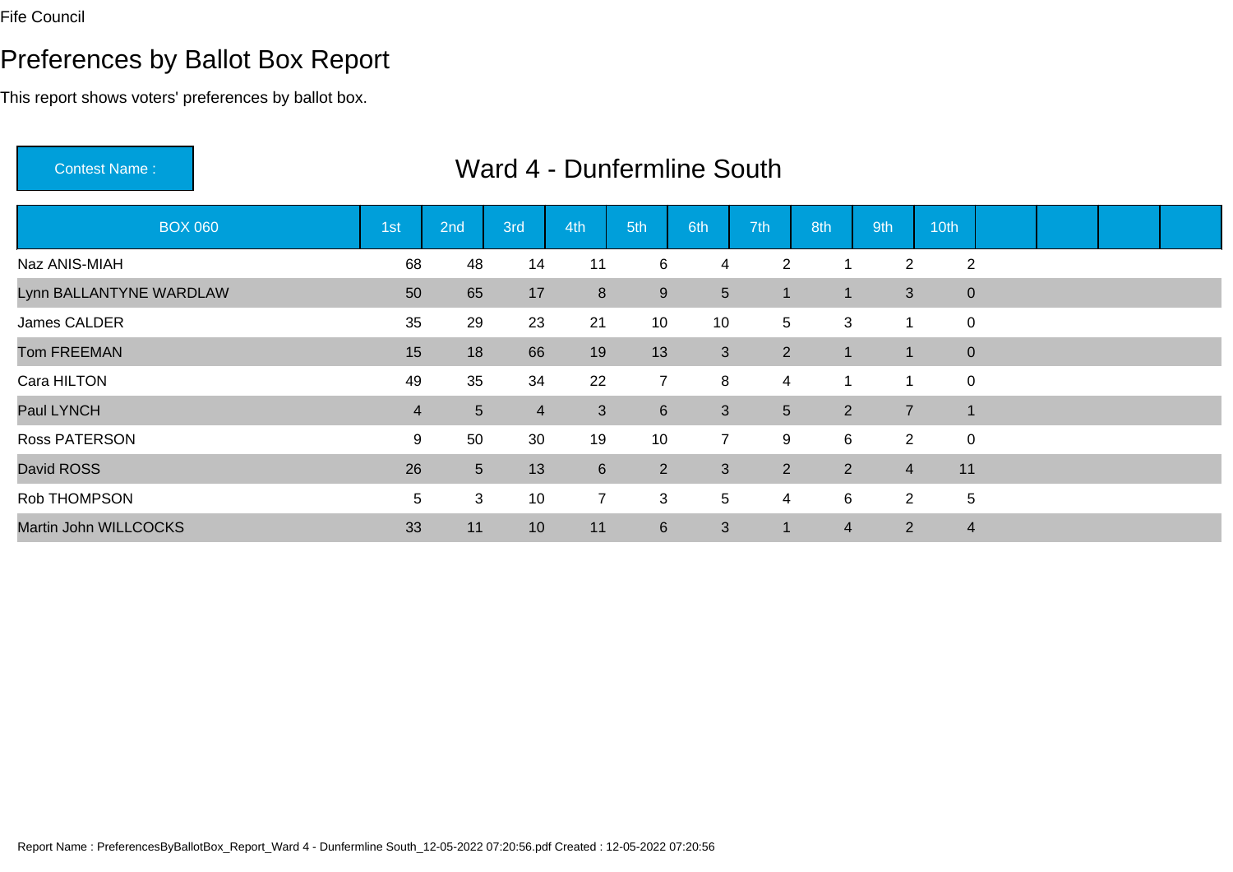# Preferences by Ballot Box Report

This report shows voters' preferences by ballot box.

Contest Name :

| <b>BOX 060</b>          | 1st | 2nd            | 3rd            | 4th            | 5th            | 6th            | 7th                  | 8th            | 9th            | 10th           |  |  |
|-------------------------|-----|----------------|----------------|----------------|----------------|----------------|----------------------|----------------|----------------|----------------|--|--|
| Naz ANIS-MIAH           | 68  | 48             | 14             | 11             | 6              | 4              | 2                    | 1              | $\overline{2}$ | 2              |  |  |
| Lynn BALLANTYNE WARDLAW | 50  | 65             | 17             | 8              | 9              | 5              | 1                    | 1              | 3              | $\mathbf 0$    |  |  |
| James CALDER            | 35  | 29             | 23             | 21             | 10             | 10             | 5                    | 3              | 1              | 0              |  |  |
| <b>Tom FREEMAN</b>      | 15  | 18             | 66             | 19             | 13             | 3              | $\overline{2}$       | $\blacksquare$ | 1              | $\mathbf{0}$   |  |  |
| Cara HILTON             | 49  | 35             | 34             | 22             | $\overline{7}$ | 8              | 4                    | 1              | 1              | $\mathbf 0$    |  |  |
| Paul LYNCH              | 4   | 5 <sup>5</sup> | $\overline{4}$ | 3              | $6\phantom{1}$ | 3              | 5 <sup>5</sup>       | 2              | $\overline{7}$ | $\vert$ 1      |  |  |
| Ross PATERSON           | 9   | 50             | 30             | 19             | 10             | $\overline{7}$ | 9                    | 6              | $\overline{2}$ | 0              |  |  |
| David ROSS              | 26  | 5 <sup>5</sup> | 13             | $6\phantom{1}$ | $\overline{2}$ | 3              | $2^{\circ}$          | 2              | $\overline{4}$ | 11             |  |  |
| Rob THOMPSON            | 5   | 3              | 10             | $\overline{7}$ | 3              | 5              | 4                    | 6              | $\overline{2}$ | 5              |  |  |
| Martin John WILLCOCKS   | 33  | 11             | 10             | 11             | $6\phantom{1}$ | 3              | $\blacktriangleleft$ | $\overline{4}$ | $\overline{2}$ | $\overline{4}$ |  |  |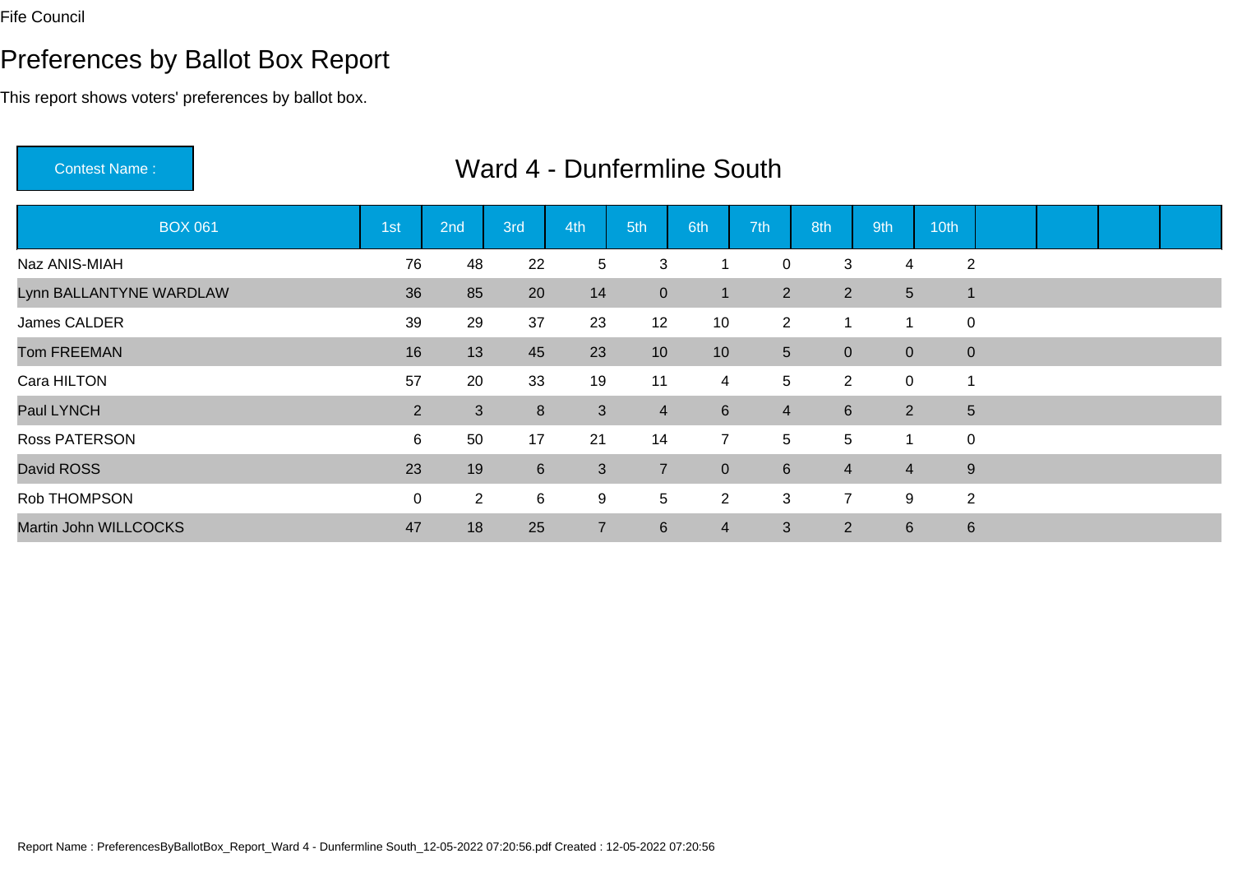# Preferences by Ballot Box Report

This report shows voters' preferences by ballot box.

Contest Name :

| <b>BOX 061</b>          | 1st            | 2nd          | 3rd            | 4th            | 5th              | 6th            | 7th             | 8th            | 9th            | 10th           |  |  |
|-------------------------|----------------|--------------|----------------|----------------|------------------|----------------|-----------------|----------------|----------------|----------------|--|--|
| Naz ANIS-MIAH           | 76             | 48           | 22             | 5              | 3                |                | $\mathbf 0$     | 3              | 4              | 2              |  |  |
| Lynn BALLANTYNE WARDLAW | 36             | 85           | 20             | 14             | $\mathbf{0}$     | 1              | $\overline{2}$  | 2              | $5\phantom{.}$ |                |  |  |
| James CALDER            | 39             | 29           | 37             | 23             | 12               | 10             | 2               |                | 1              | 0              |  |  |
| <b>Tom FREEMAN</b>      | 16             | 13           | 45             | 23             | 10               | 10             | 5 <sup>5</sup>  | $\overline{0}$ | $\overline{0}$ | $\pmb{0}$      |  |  |
| Cara HILTON             | 57             | 20           | 33             | 19             | 11               | $\overline{4}$ | 5               | 2              | $\overline{0}$ | 1              |  |  |
| Paul LYNCH              | $\overline{2}$ | $\mathbf{3}$ | 8              | 3              | $\overline{4}$   | 6              | $\overline{4}$  | $6\phantom{1}$ | $\overline{2}$ | $\sqrt{5}$     |  |  |
| <b>Ross PATERSON</b>    | 6              | 50           | 17             | 21             | 14               | $\overline{7}$ | 5               | 5              | 1              | 0              |  |  |
| David ROSS              | 23             | 19           | $6\phantom{1}$ | 3              | $\overline{7}$   | $\overline{0}$ | $6\phantom{1}6$ | $\overline{4}$ | $\overline{4}$ | $9\,$          |  |  |
| Rob THOMPSON            | $\mathbf 0$    | $2^{\circ}$  | 6              | 9              | 5                | $\overline{2}$ | 3               | $\overline{7}$ | 9              | $\overline{2}$ |  |  |
| Martin John WILLCOCKS   | 47             | 18           | 25             | $\overline{7}$ | $6 \overline{6}$ | 4              | 3               | $\overline{2}$ | $6\phantom{1}$ | $6\phantom{1}$ |  |  |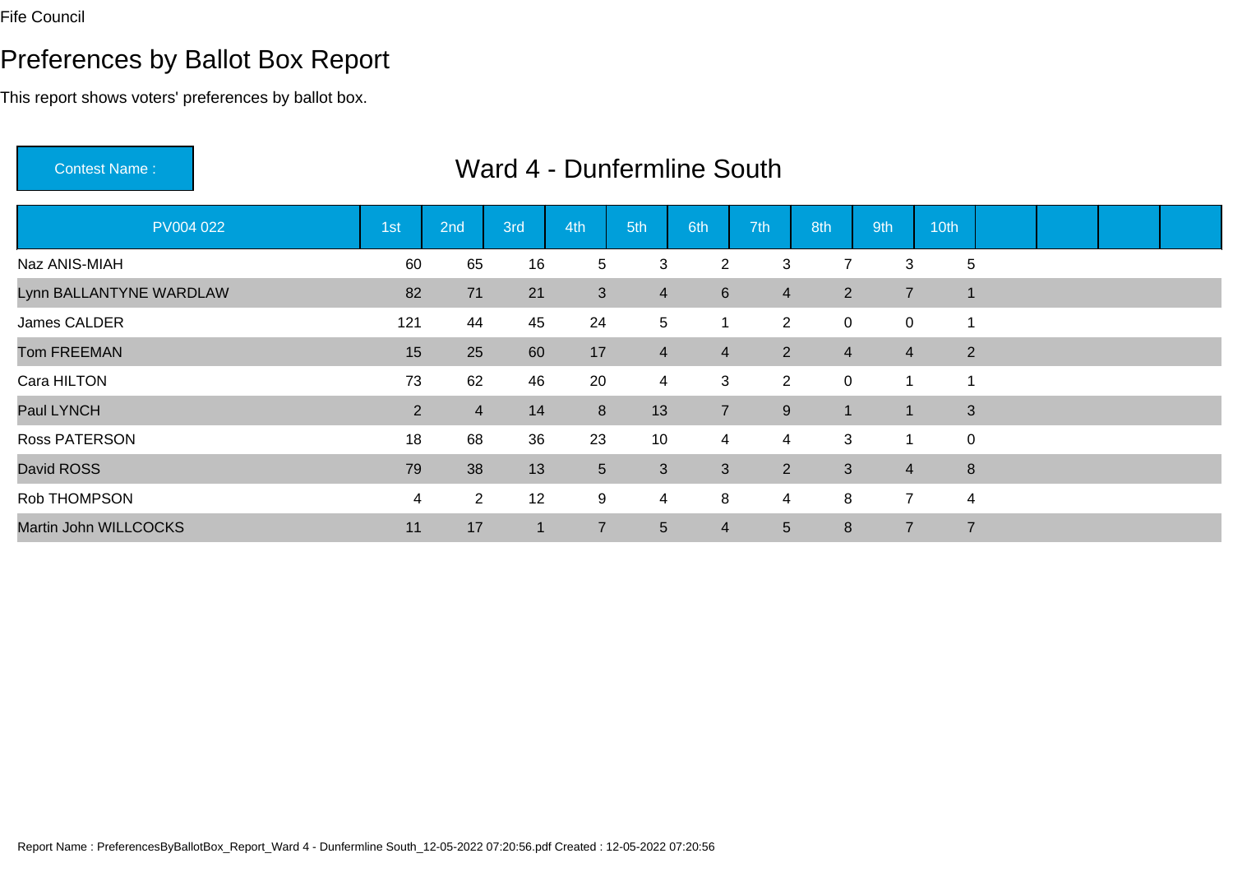# Preferences by Ballot Box Report

This report shows voters' preferences by ballot box.

Contest Name :

| PV004 022               | 1st            | 2nd            | 3rd | 4th             | 5th             | 6th            | 7th            | 8th            | 9th            | 10th           |  |  |
|-------------------------|----------------|----------------|-----|-----------------|-----------------|----------------|----------------|----------------|----------------|----------------|--|--|
| Naz ANIS-MIAH           | 60             | 65             | 16  | 5               | 3               | $\overline{2}$ | 3              | 7              | 3              | $\overline{5}$ |  |  |
| Lynn BALLANTYNE WARDLAW | 82             | 71             | 21  | 3               | $\overline{4}$  | 6              | $\overline{4}$ | 2              | $\overline{7}$ |                |  |  |
| James CALDER            | 121            | 44             | 45  | 24              | $\sqrt{5}$      |                | $\overline{2}$ | $\mathbf 0$    | $\mathbf 0$    |                |  |  |
| <b>Tom FREEMAN</b>      | 15             | 25             | 60  | 17              | $\overline{4}$  | 4              | $\overline{2}$ | $\overline{4}$ | $\overline{4}$ | $\overline{2}$ |  |  |
| Cara HILTON             | 73             | 62             | 46  | 20              | $\overline{4}$  | 3              | $\overline{2}$ | $\mathbf 0$    | 1              |                |  |  |
| Paul LYNCH              | $\overline{2}$ | $\overline{4}$ | 14  | 8               | 13              | $\overline{7}$ | 9              | 1              | $\mathbf 1$    | 3              |  |  |
| <b>Ross PATERSON</b>    | 18             | 68             | 36  | 23              | 10              | 4              | $\overline{4}$ | 3              | 1              | $\mathbf 0$    |  |  |
| David ROSS              | 79             | 38             | 13  | $5\phantom{.0}$ | $\mathbf{3}$    | 3              | $2^{\circ}$    | 3              | $\overline{4}$ | 8              |  |  |
| Rob THOMPSON            | $\overline{4}$ | $\overline{2}$ | 12  | 9               | $\overline{4}$  | 8              | 4              | 8              | $\overline{7}$ | 4              |  |  |
| Martin John WILLCOCKS   | 11             | 17             |     | $\overline{7}$  | $5\phantom{.0}$ | 4              | 5 <sup>5</sup> | 8              | $\overline{7}$ | $\overline{7}$ |  |  |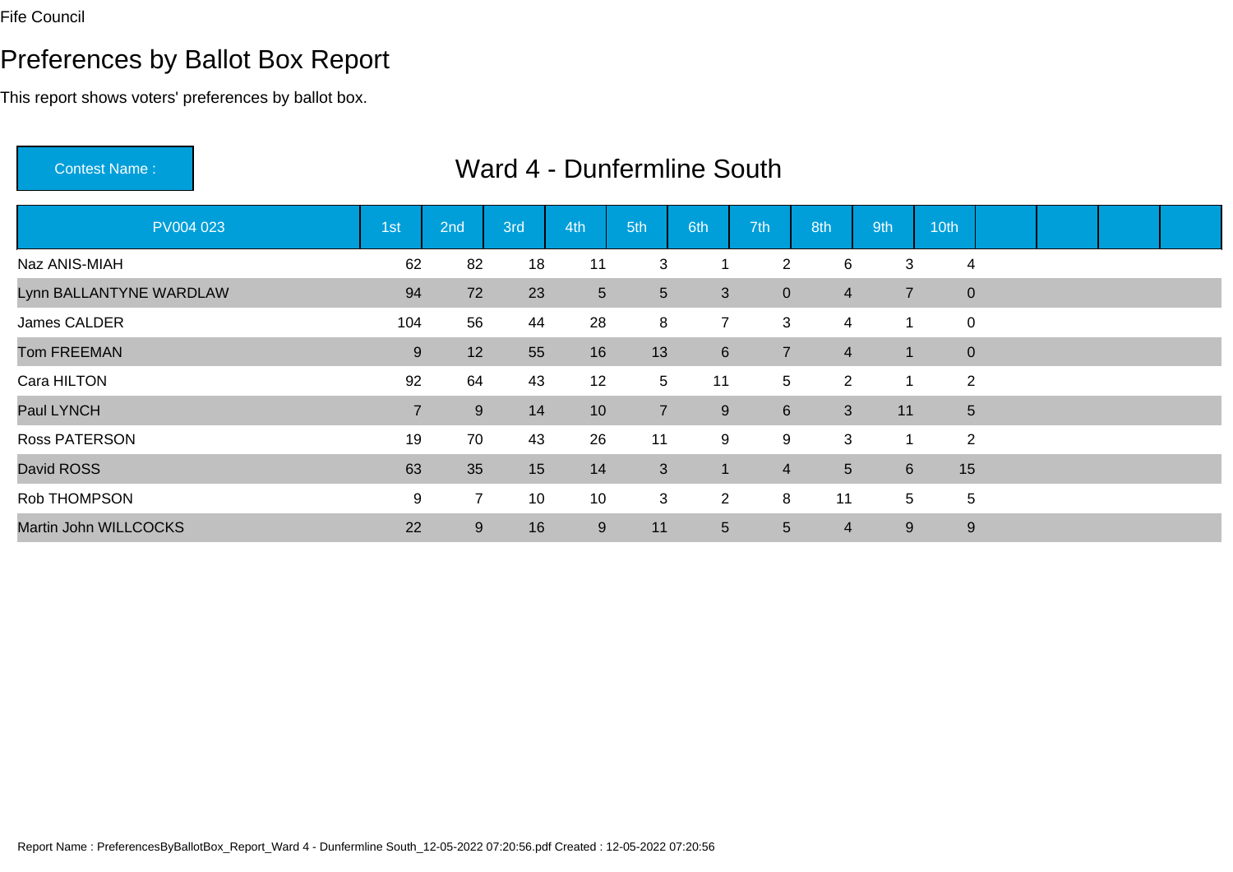# Preferences by Ballot Box Report

This report shows voters' preferences by ballot box.

Contest Name :

| PV004 023               | 1st            | 2nd            | 3rd | 4th             | 5th             | 6th              | 7th             | 8th            | 9th             | 10th            |  |  |
|-------------------------|----------------|----------------|-----|-----------------|-----------------|------------------|-----------------|----------------|-----------------|-----------------|--|--|
| Naz ANIS-MIAH           | 62             | 82             | 18  | 11              | 3               |                  | 2               | 6              | 3               | 4               |  |  |
| Lynn BALLANTYNE WARDLAW | 94             | 72             | 23  | $5\overline{)}$ | $5\phantom{.0}$ | 3                | $\overline{0}$  | $\overline{4}$ | $\overline{7}$  | $\mathbf{0}$    |  |  |
| James CALDER            | 104            | 56             | 44  | 28              | 8               | $\overline{7}$   | 3               | 4              | 1               | 0               |  |  |
| <b>Tom FREEMAN</b>      | 9              | 12             | 55  | 16              | 13              | $6 \overline{6}$ | $\overline{7}$  | $\overline{4}$ | 1               | $\overline{0}$  |  |  |
| Cara HILTON             | 92             | 64             | 43  | 12              | 5               | 11               | 5               | $\overline{2}$ | 1               | $\overline{2}$  |  |  |
| Paul LYNCH              | $\overline{7}$ | 9              | 14  | 10              | $\overline{7}$  | 9                | $6\overline{6}$ | 3              | 11              | $5\phantom{.0}$ |  |  |
| Ross PATERSON           | 19             | 70             | 43  | 26              | 11              | 9                | 9               | 3              | 1               | $\overline{2}$  |  |  |
| David ROSS              | 63             | 35             | 15  | 14              | 3               | 1                | $\overline{4}$  | 5              | $6\overline{6}$ | 15              |  |  |
| Rob THOMPSON            | 9              | $\overline{7}$ | 10  | 10              | 3               | $\overline{2}$   | 8               | 11             | 5               | 5               |  |  |
| Martin John WILLCOCKS   | 22             | 9              | 16  | 9               | 11              | $5\phantom{.0}$  | $5\overline{)}$ | 4              | $9\,$           | 9               |  |  |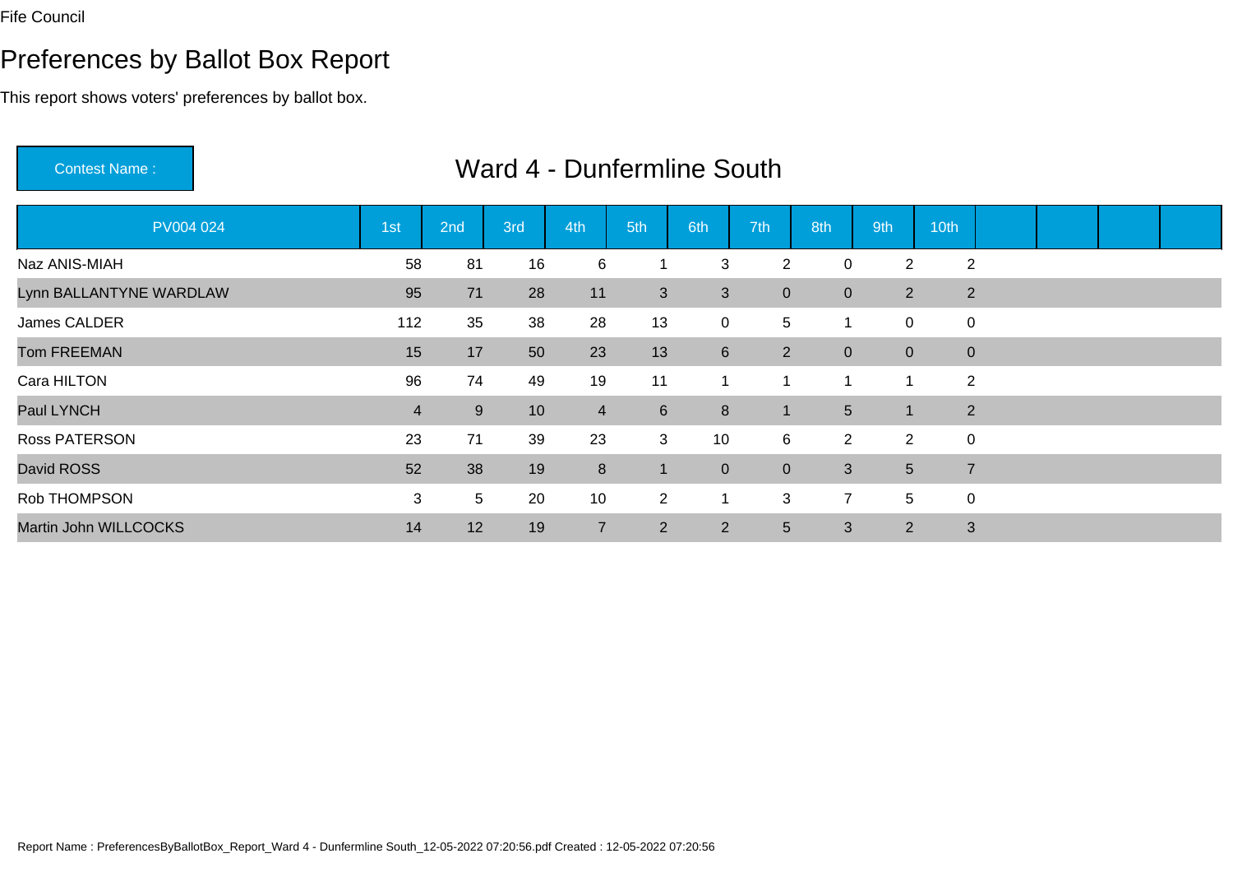# Preferences by Ballot Box Report

This report shows voters' preferences by ballot box.

Contest Name :

| PV004 024               | 1st            | 2nd | 3rd | 4th            | 5th             | 6th            | 7th            | 8th            | 9th            | 10th           |  |  |
|-------------------------|----------------|-----|-----|----------------|-----------------|----------------|----------------|----------------|----------------|----------------|--|--|
| Naz ANIS-MIAH           | 58             | 81  | 16  | 6              |                 | 3              | 2              | $\mathbf 0$    | $\overline{2}$ | $\overline{2}$ |  |  |
| Lynn BALLANTYNE WARDLAW | 95             | 71  | 28  | 11             | 3               | 3              | $\overline{0}$ | $\pmb{0}$      | $2^{\circ}$    | $\overline{2}$ |  |  |
| James CALDER            | 112            | 35  | 38  | 28             | 13              | $\mathbf 0$    | 5              | 1              | $\mathbf 0$    | 0              |  |  |
| <b>Tom FREEMAN</b>      | 15             | 17  | 50  | 23             | 13              | 6              | $2^{\circ}$    | $\mathbf 0$    | $\overline{0}$ | $\mathbf{0}$   |  |  |
| Cara HILTON             | 96             | 74  | 49  | 19             | 11              |                | -1             | 1              | 1              | $\overline{2}$ |  |  |
| Paul LYNCH              | $\overline{4}$ | 9   | 10  | $\overline{4}$ | $6\overline{6}$ | 8              | $\blacksquare$ | 5              | $\mathbf 1$    | $\overline{2}$ |  |  |
| Ross PATERSON           | 23             | 71  | 39  | 23             | 3               | 10             | $6^{\circ}$    | 2              | $\overline{2}$ | $\mathbf 0$    |  |  |
| David ROSS              | 52             | 38  | 19  | 8              | $\vert$ 1       | $\overline{0}$ | $\overline{0}$ | 3              | 5 <sup>5</sup> | $\overline{7}$ |  |  |
| Rob THOMPSON            | 3              | 5   | 20  | 10             | $\overline{2}$  |                | 3              | $\overline{7}$ | 5              | $\pmb{0}$      |  |  |
| Martin John WILLCOCKS   | 14             | 12  | 19  | $\overline{7}$ | 2               | $\overline{2}$ | 5 <sup>5</sup> | 3              | $\overline{2}$ | 3              |  |  |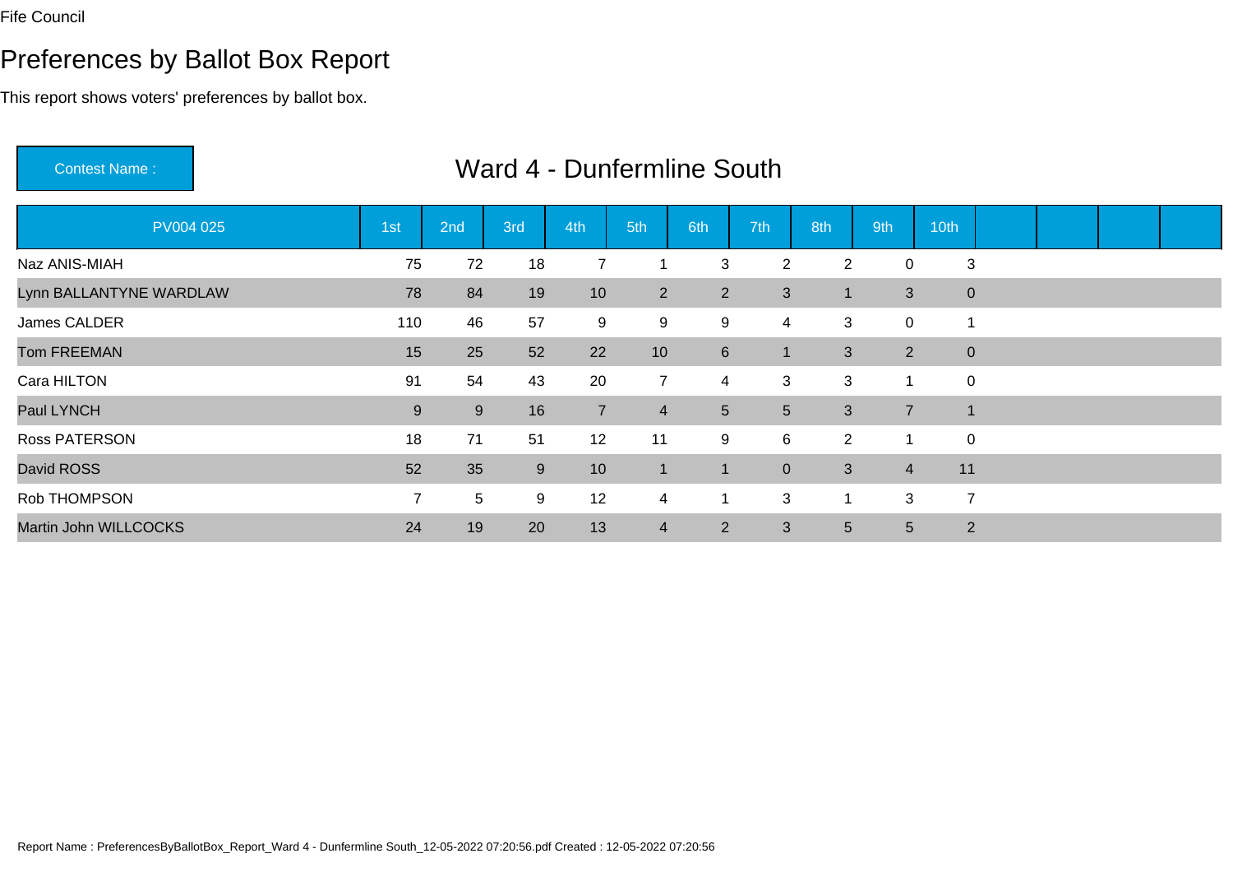# Preferences by Ballot Box Report

This report shows voters' preferences by ballot box.

Contest Name :

| PV004 025               | 1st            | 2nd | 3rd | 4th            | 5th            | 6th            | 7th            | 8th            | 9th            | 10th           |  |  |
|-------------------------|----------------|-----|-----|----------------|----------------|----------------|----------------|----------------|----------------|----------------|--|--|
| Naz ANIS-MIAH           | 75             | 72  | 18  |                |                | 3              | $\overline{2}$ | $\overline{2}$ | $\mathbf 0$    | 3              |  |  |
| Lynn BALLANTYNE WARDLAW | 78             | 84  | 19  | 10             | $2^{\circ}$    | $\overline{2}$ | 3              | 1              | 3              | $\mathbf 0$    |  |  |
| James CALDER            | 110            | 46  | 57  | 9              | 9              | 9              | 4              | 3              | $\mathbf 0$    |                |  |  |
| <b>Tom FREEMAN</b>      | 15             | 25  | 52  | 22             | 10             | $6\phantom{1}$ | 1              | 3              | $\overline{2}$ | $\mathbf 0$    |  |  |
| Cara HILTON             | 91             | 54  | 43  | 20             | $\overline{7}$ | 4              | 3              | 3              | 1              | $\pmb{0}$      |  |  |
| Paul LYNCH              | 9              | 9   | 16  | $\overline{7}$ | $\overline{4}$ | 5 <sup>5</sup> | 5 <sup>5</sup> | 3              | $\overline{7}$ | $\overline{1}$ |  |  |
| <b>Ross PATERSON</b>    | 18             | 71  | 51  | 12             | 11             | 9              | 6              | 2              | -1             | 0              |  |  |
| David ROSS              | 52             | 35  | 9   | 10             | $\mathbf{1}$   |                | $\overline{0}$ | 3              | $\overline{4}$ | 11             |  |  |
| Rob THOMPSON            | $\overline{7}$ | 5   | 9   | 12             | $\overline{4}$ |                | 3              | 1              | 3              | $\overline{7}$ |  |  |
| Martin John WILLCOCKS   | 24             | 19  | 20  | 13             | $\overline{4}$ | $\overline{2}$ | 3              | 5              | 5 <sup>5</sup> | $\overline{2}$ |  |  |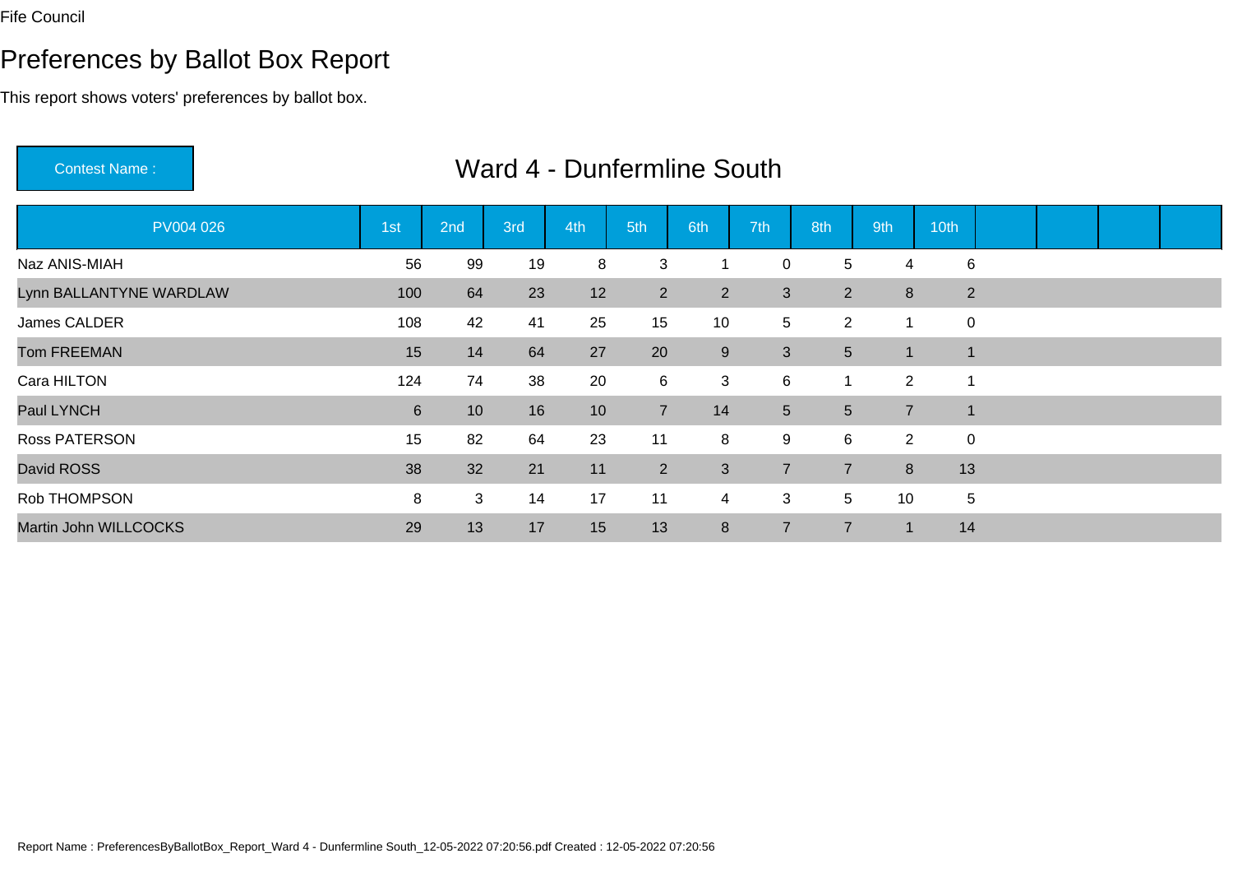Martin John WILLCOCKS

### Preferences by Ballot Box Report

This report shows voters' preferences by ballot box.

Contest Name :PV004 026 1st 2nd 3rd 4th 5th 6th 7th 8th 9th 10th Naz ANIS-MIAH <sup>56</sup> <sup>99</sup> <sup>19</sup> <sup>8</sup> <sup>3</sup> <sup>1</sup> <sup>0</sup> <sup>5</sup> <sup>4</sup> <sup>6</sup> Lynn BALLANTYNE WARDLAWW 100 64 23 12 2 2 3 2 8 2 James CALDERR 108 42 41 25 15 10 5 2 1 0 Tom FREEMANN 15 14 64 27 20 9 3 5 1 1 Cara HILTONN 124 74 38 20 6 3 6 1 2 1 Paul LYNCH <sup>6</sup> <sup>10</sup> <sup>16</sup> <sup>10</sup> <sup>7</sup> <sup>14</sup> <sup>5</sup> <sup>5</sup> <sup>7</sup> <sup>1</sup> Ross PATERSONN 15 82 64 23 11 8 9 6 2 0 David ROSS <sup>38</sup> <sup>32</sup> <sup>21</sup> <sup>11</sup> <sup>2</sup> <sup>3</sup> <sup>7</sup> <sup>7</sup> <sup>8</sup> <sup>13</sup> Rob THOMPSONN 3 2 3 3 14 17 11 4 3 5 10 5

29 13 17 13 13 8 7 7 1 14